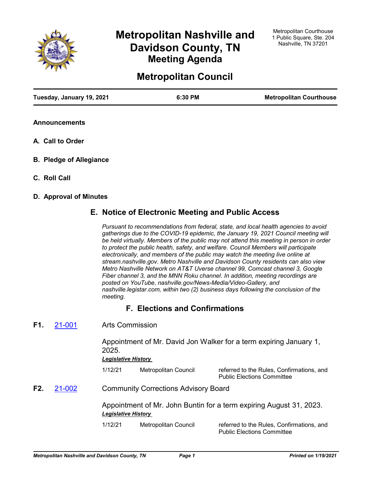

# **Metropolitan Nashville and Davidson County, TN Meeting Agenda**

## **Metropolitan Council**

| Tuesday, January 19, 2021 | 6:30 PM | <b>Metropolitan Courthouse</b> |
|---------------------------|---------|--------------------------------|
|                           |         |                                |

- **Announcements**
- **A. Call to Order**
- **B. Pledge of Allegiance**
- **C. Roll Call**

### **D. Approval of Minutes**

## **E. Notice of Electronic Meeting and Public Access**

*Pursuant to recommendations from federal, state, and local health agencies to avoid gatherings due to the COVID-19 epidemic, the January 19, 2021 Council meeting will be held virtually. Members of the public may not attend this meeting in person in order to protect the public health, safety, and welfare. Council Members will participate electronically, and members of the public may watch the meeting live online at stream.nashville.gov. Metro Nashville and Davidson County residents can also view Metro Nashville Network on AT&T Uverse channel 99, Comcast channel 3, Google Fiber channel 3, and the MNN Roku channel. In addition, meeting recordings are posted on YouTube, nashville.gov/News-Media/Video-Gallery, and nashville.legistar.com, within two (2) business days following the conclusion of the meeting.*

## **F. Elections and Confirmations**

Arts Commission **F1.** [21-001](http://nashville.legistar.com/gateway.aspx?m=l&id=/matter.aspx?key=1798)

> Appointment of Mr. David Jon Walker for a term expiring January 1, 2025.

#### *Legislative History*

1/12/21 Metropolitan Council referred to the Rules, Confirmations, and Public Elections Committee

Community Corrections Advisory Board **F2.** [21-002](http://nashville.legistar.com/gateway.aspx?m=l&id=/matter.aspx?key=1799)

> Appointment of Mr. John Buntin for a term expiring August 31, 2023. *Legislative History*

1/12/21 Metropolitan Council referred to the Rules, Confirmations, and Public Elections Committee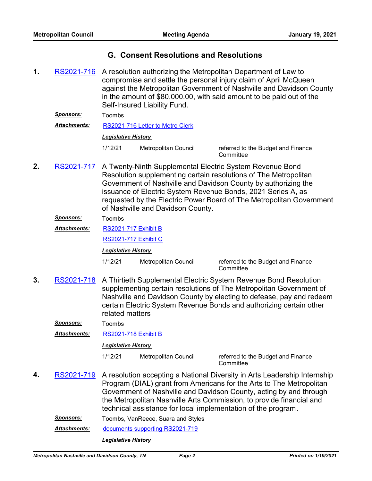## **G. Consent Resolutions and Resolutions**

1. [RS2021-716](http://nashville.legistar.com/gateway.aspx?m=l&id=/matter.aspx?key=1814) A resolution authorizing the Metropolitan Department of Law to compromise and settle the personal injury claim of April McQueen against the Metropolitan Government of Nashville and Davidson County in the amount of \$80,000.00, with said amount to be paid out of the Self-Insured Liability Fund.

*Sponsors:* Toombs *Attachments:* [RS2021-716 Letter to Metro Clerk](http://nashville.legistar.com/gateway.aspx?M=F&ID=ebe2a202-3fb1-4729-aa0a-825a6c87876a.PDF)

#### *Legislative History*

1/12/21 Metropolitan Council referred to the Budget and Finance

**Committee** 

A Twenty-Ninth Supplemental Electric System Revenue Bond Resolution supplementing certain resolutions of The Metropolitan Government of Nashville and Davidson County by authorizing the issuance of Electric System Revenue Bonds, 2021 Series A, as requested by the Electric Power Board of The Metropolitan Government of Nashville and Davidson County. **2.** [RS2021-717](http://nashville.legistar.com/gateway.aspx?m=l&id=/matter.aspx?key=1816)

#### *Sponsors:* Toombs

[RS2021-717 Exhibit B](http://nashville.legistar.com/gateway.aspx?M=F&ID=e87ec196-01fb-4d42-b6f8-07f004eac597.PDF) *Attachments:*

[RS2021-717 Exhibit C](http://nashville.legistar.com/gateway.aspx?M=F&ID=9dfdee8c-6769-4b44-8a6c-fb370f76697a.PDF)

*Legislative History* 

1/12/21 Metropolitan Council referred to the Budget and Finance

**Committee** 

A Thirtieth Supplemental Electric System Revenue Bond Resolution supplementing certain resolutions of The Metropolitan Government of Nashville and Davidson County by electing to defease, pay and redeem certain Electric System Revenue Bonds and authorizing certain other related matters **3.** [RS2021-718](http://nashville.legistar.com/gateway.aspx?m=l&id=/matter.aspx?key=1817)

*Sponsors:* Toombs

*Attachments:* [RS2021-718 Exhibit B](http://nashville.legistar.com/gateway.aspx?M=F&ID=7355026e-7629-4ba9-b01d-08ecd33b300e.PDF)

#### *Legislative History*

1/12/21 Metropolitan Council referred to the Budget and Finance **Committee** 

- A resolution accepting a National Diversity in Arts Leadership Internship Program (DIAL) grant from Americans for the Arts to The Metropolitan Government of Nashville and Davidson County, acting by and through the Metropolitan Nashville Arts Commission, to provide financial and technical assistance for local implementation of the program. **4.** [RS2021-719](http://nashville.legistar.com/gateway.aspx?m=l&id=/matter.aspx?key=1801)
	- *Sponsors:* Toombs, VanReece, Suara and Styles

*Attachments:* [documents supporting RS2021-719](http://nashville.legistar.com/gateway.aspx?M=F&ID=7bdaaac8-cd25-4d52-9f76-1d4547b46d29.PDF)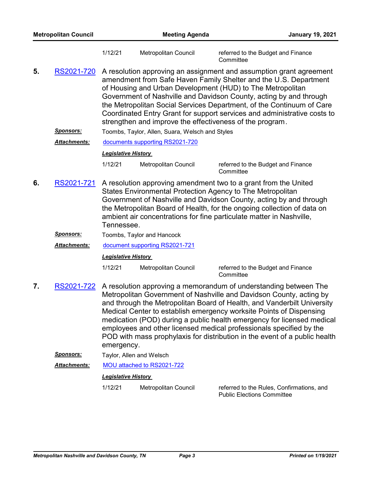| <b>Metropolitan Council</b> |                     |                                                                                                                                                                                                                                                                                                                                                                                                                                                                                              | <b>Meeting Agenda</b><br><b>January 19, 2021</b> |                                                                                                                                                                                                                                                                                                                                                                                                                                                                                                                          |  |  |
|-----------------------------|---------------------|----------------------------------------------------------------------------------------------------------------------------------------------------------------------------------------------------------------------------------------------------------------------------------------------------------------------------------------------------------------------------------------------------------------------------------------------------------------------------------------------|--------------------------------------------------|--------------------------------------------------------------------------------------------------------------------------------------------------------------------------------------------------------------------------------------------------------------------------------------------------------------------------------------------------------------------------------------------------------------------------------------------------------------------------------------------------------------------------|--|--|
|                             |                     | 1/12/21                                                                                                                                                                                                                                                                                                                                                                                                                                                                                      | Metropolitan Council                             | referred to the Budget and Finance<br>Committee                                                                                                                                                                                                                                                                                                                                                                                                                                                                          |  |  |
| 5.                          | RS2021-720          | A resolution approving an assignment and assumption grant agreement<br>amendment from Safe Haven Family Shelter and the U.S. Department<br>of Housing and Urban Development (HUD) to The Metropolitan<br>Government of Nashville and Davidson County, acting by and through<br>the Metropolitan Social Services Department, of the Continuum of Care<br>Coordinated Entry Grant for support services and administrative costs to<br>strengthen and improve the effectiveness of the program. |                                                  |                                                                                                                                                                                                                                                                                                                                                                                                                                                                                                                          |  |  |
|                             | Sponsors:           |                                                                                                                                                                                                                                                                                                                                                                                                                                                                                              | Toombs, Taylor, Allen, Suara, Welsch and Styles  |                                                                                                                                                                                                                                                                                                                                                                                                                                                                                                                          |  |  |
|                             | Attachments:        |                                                                                                                                                                                                                                                                                                                                                                                                                                                                                              | documents supporting RS2021-720                  |                                                                                                                                                                                                                                                                                                                                                                                                                                                                                                                          |  |  |
|                             |                     | <b>Legislative History</b>                                                                                                                                                                                                                                                                                                                                                                                                                                                                   |                                                  |                                                                                                                                                                                                                                                                                                                                                                                                                                                                                                                          |  |  |
|                             |                     | 1/12/21                                                                                                                                                                                                                                                                                                                                                                                                                                                                                      | <b>Metropolitan Council</b>                      | referred to the Budget and Finance<br>Committee                                                                                                                                                                                                                                                                                                                                                                                                                                                                          |  |  |
| 6.                          | RS2021-721          | Tennessee.                                                                                                                                                                                                                                                                                                                                                                                                                                                                                   |                                                  | A resolution approving amendment two to a grant from the United<br>States Environmental Protection Agency to The Metropolitan<br>Government of Nashville and Davidson County, acting by and through<br>the Metropolitan Board of Health, for the ongoing collection of data on<br>ambient air concentrations for fine particulate matter in Nashville,                                                                                                                                                                   |  |  |
|                             | <u>Sponsors:</u>    |                                                                                                                                                                                                                                                                                                                                                                                                                                                                                              | Toombs, Taylor and Hancock                       |                                                                                                                                                                                                                                                                                                                                                                                                                                                                                                                          |  |  |
|                             | Attachments:        | document supporting RS2021-721                                                                                                                                                                                                                                                                                                                                                                                                                                                               |                                                  |                                                                                                                                                                                                                                                                                                                                                                                                                                                                                                                          |  |  |
|                             |                     | <b>Legislative History</b>                                                                                                                                                                                                                                                                                                                                                                                                                                                                   |                                                  |                                                                                                                                                                                                                                                                                                                                                                                                                                                                                                                          |  |  |
|                             |                     | 1/12/21                                                                                                                                                                                                                                                                                                                                                                                                                                                                                      | <b>Metropolitan Council</b>                      | referred to the Budget and Finance<br>Committee                                                                                                                                                                                                                                                                                                                                                                                                                                                                          |  |  |
| 7.                          | RS2021-722          | emergency.                                                                                                                                                                                                                                                                                                                                                                                                                                                                                   |                                                  | A resolution approving a memorandum of understanding between The<br>Metropolitan Government of Nashville and Davidson County, acting by<br>and through the Metropolitan Board of Health, and Vanderbilt University<br>Medical Center to establish emergency worksite Points of Dispensing<br>medication (POD) during a public health emergency for licensed medical<br>employees and other licensed medical professionals specified by the<br>POD with mass prophylaxis for distribution in the event of a public health |  |  |
|                             | <b>Sponsors:</b>    |                                                                                                                                                                                                                                                                                                                                                                                                                                                                                              | Taylor, Allen and Welsch                         |                                                                                                                                                                                                                                                                                                                                                                                                                                                                                                                          |  |  |
|                             | <b>Attachments:</b> |                                                                                                                                                                                                                                                                                                                                                                                                                                                                                              | MOU attached to RS2021-722                       |                                                                                                                                                                                                                                                                                                                                                                                                                                                                                                                          |  |  |
|                             |                     | <b>Legislative History</b>                                                                                                                                                                                                                                                                                                                                                                                                                                                                   |                                                  |                                                                                                                                                                                                                                                                                                                                                                                                                                                                                                                          |  |  |
|                             |                     | 1/12/21                                                                                                                                                                                                                                                                                                                                                                                                                                                                                      | Metropolitan Council                             | referred to the Rules, Confirmations, and<br><b>Public Elections Committee</b>                                                                                                                                                                                                                                                                                                                                                                                                                                           |  |  |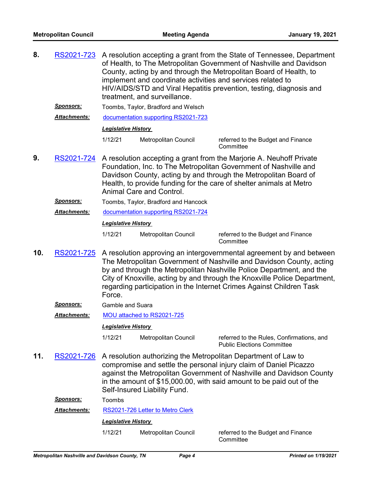| 8.  | RS2021-723          | A resolution accepting a grant from the State of Tennessee, Department<br>of Health, to The Metropolitan Government of Nashville and Davidson<br>County, acting by and through the Metropolitan Board of Health, to<br>implement and coordinate activities and services related to<br>HIV/AIDS/STD and Viral Hepatitis prevention, testing, diagnosis and<br>treatment, and surveillance. |                                      |                                                                                                                                                                                                                                                                                                                                                                           |
|-----|---------------------|-------------------------------------------------------------------------------------------------------------------------------------------------------------------------------------------------------------------------------------------------------------------------------------------------------------------------------------------------------------------------------------------|--------------------------------------|---------------------------------------------------------------------------------------------------------------------------------------------------------------------------------------------------------------------------------------------------------------------------------------------------------------------------------------------------------------------------|
|     | <u>Sponsors:</u>    |                                                                                                                                                                                                                                                                                                                                                                                           | Toombs, Taylor, Bradford and Welsch  |                                                                                                                                                                                                                                                                                                                                                                           |
|     | Attachments:        |                                                                                                                                                                                                                                                                                                                                                                                           | documentation supporting RS2021-723  |                                                                                                                                                                                                                                                                                                                                                                           |
|     |                     | <b>Legislative History</b>                                                                                                                                                                                                                                                                                                                                                                |                                      |                                                                                                                                                                                                                                                                                                                                                                           |
|     |                     | 1/12/21                                                                                                                                                                                                                                                                                                                                                                                   | Metropolitan Council                 | referred to the Budget and Finance<br>Committee                                                                                                                                                                                                                                                                                                                           |
| 9.  | RS2021-724          | A resolution accepting a grant from the Marjorie A. Neuhoff Private<br>Foundation, Inc. to The Metropolitan Government of Nashville and<br>Davidson County, acting by and through the Metropolitan Board of<br>Health, to provide funding for the care of shelter animals at Metro<br>Animal Care and Control.                                                                            |                                      |                                                                                                                                                                                                                                                                                                                                                                           |
|     | <u>Sponsors:</u>    |                                                                                                                                                                                                                                                                                                                                                                                           | Toombs, Taylor, Bradford and Hancock |                                                                                                                                                                                                                                                                                                                                                                           |
|     | Attachments:        |                                                                                                                                                                                                                                                                                                                                                                                           | documentation supporting RS2021-724  |                                                                                                                                                                                                                                                                                                                                                                           |
|     |                     | <b>Legislative History</b>                                                                                                                                                                                                                                                                                                                                                                |                                      |                                                                                                                                                                                                                                                                                                                                                                           |
|     |                     | 1/12/21                                                                                                                                                                                                                                                                                                                                                                                   | Metropolitan Council                 | referred to the Budget and Finance<br>Committee                                                                                                                                                                                                                                                                                                                           |
| 10. | RS2021-725          | Force.                                                                                                                                                                                                                                                                                                                                                                                    |                                      | A resolution approving an intergovernmental agreement by and between<br>The Metropolitan Government of Nashville and Davidson County, acting<br>by and through the Metropolitan Nashville Police Department, and the<br>City of Knoxville, acting by and through the Knoxville Police Department,<br>regarding participation in the Internet Crimes Against Children Task |
|     | <u>Sponsors:</u>    | <b>Gamble and Suara</b>                                                                                                                                                                                                                                                                                                                                                                   |                                      |                                                                                                                                                                                                                                                                                                                                                                           |
|     | <b>Attachments:</b> |                                                                                                                                                                                                                                                                                                                                                                                           | MOU attached to RS2021-725           |                                                                                                                                                                                                                                                                                                                                                                           |
|     |                     | <b>Legislative History</b>                                                                                                                                                                                                                                                                                                                                                                |                                      |                                                                                                                                                                                                                                                                                                                                                                           |
|     |                     | 1/12/21                                                                                                                                                                                                                                                                                                                                                                                   | Metropolitan Council                 | referred to the Rules, Confirmations, and<br><b>Public Elections Committee</b>                                                                                                                                                                                                                                                                                            |
| 11. | RS2021-726          |                                                                                                                                                                                                                                                                                                                                                                                           |                                      | A resolution authorizing the Metropolitan Department of Law to<br>compromise and settle the personal injury claim of Daniel Picazzo                                                                                                                                                                                                                                       |

*Sponsors:* Toombs

*Attachments:* [RS2021-726 Letter to Metro Clerk](http://nashville.legistar.com/gateway.aspx?M=F&ID=9e078c9c-bec4-448b-8035-3445e3b0cc67.PDF)

*Legislative History* 

1/12/21 Metropolitan Council referred to the Budget and Finance

Self-Insured Liability Fund.

**Committee**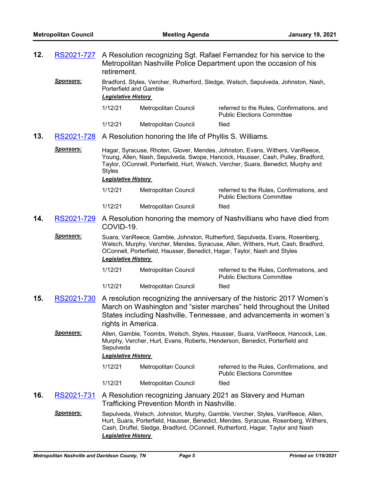**12.** [RS2021-727](http://nashville.legistar.com/gateway.aspx?m=l&id=/matter.aspx?key=1818)

retirement.

A Resolution recognizing Sgt. Rafael Fernandez for his service to the Metropolitan Nashville Police Department upon the occasion of his

|     | <b>Sponsors:</b>                               | <b>Legislative History</b>              | <b>Porterfield and Gamble</b>                          | Bradford, Styles, Vercher, Rutherford, Sledge, Welsch, Sepulveda, Johnston, Nash,                                                                                                                                                                     |
|-----|------------------------------------------------|-----------------------------------------|--------------------------------------------------------|-------------------------------------------------------------------------------------------------------------------------------------------------------------------------------------------------------------------------------------------------------|
|     |                                                | 1/12/21                                 | Metropolitan Council                                   | referred to the Rules, Confirmations, and<br><b>Public Elections Committee</b>                                                                                                                                                                        |
|     |                                                | 1/12/21                                 | Metropolitan Council                                   | filed                                                                                                                                                                                                                                                 |
| 13. | RS2021-728                                     |                                         | A Resolution honoring the life of Phyllis S. Williams. |                                                                                                                                                                                                                                                       |
|     | <u>Sponsors:</u>                               | <b>Styles</b>                           |                                                        | Hagar, Syracuse, Rhoten, Glover, Mendes, Johnston, Evans, Withers, VanReece,<br>Young, Allen, Nash, Sepulveda, Swope, Hancock, Hausser, Cash, Pulley, Bradford,<br>Taylor, OConnell, Porterfield, Hurt, Welsch, Vercher, Suara, Benedict, Murphy and  |
|     |                                                | <b>Legislative History</b>              |                                                        |                                                                                                                                                                                                                                                       |
|     |                                                | 1/12/21                                 | Metropolitan Council                                   | referred to the Rules, Confirmations, and<br><b>Public Elections Committee</b>                                                                                                                                                                        |
|     |                                                | 1/12/21                                 | <b>Metropolitan Council</b>                            | filed                                                                                                                                                                                                                                                 |
| 14. | RS2021-729                                     | COVID-19.                               |                                                        | A Resolution honoring the memory of Nashvillians who have died from                                                                                                                                                                                   |
|     | <u>Sponsors:</u>                               | <b>Legislative History</b>              |                                                        | Suara, VanReece, Gamble, Johnston, Rutherford, Sepulveda, Evans, Rosenberg,<br>Welsch, Murphy, Vercher, Mendes, Syracuse, Allen, Withers, Hurt, Cash, Bradford,<br>OConnell, Porterfield, Hausser, Benedict, Hagar, Taylor, Nash and Styles           |
|     |                                                | 1/12/21                                 | Metropolitan Council                                   | referred to the Rules, Confirmations, and<br><b>Public Elections Committee</b>                                                                                                                                                                        |
|     |                                                | 1/12/21                                 | <b>Metropolitan Council</b>                            | filed                                                                                                                                                                                                                                                 |
| 15. | RS2021-730                                     | rights in America.                      |                                                        | A resolution recognizing the anniversary of the historic 2017 Women's<br>March on Washington and "sister marches" held throughout the United<br>States including Nashville, Tennessee, and advancements in women's                                    |
|     | <b>Sponsors:</b>                               | Sepulveda<br><b>Legislative History</b> |                                                        | Allen, Gamble, Toombs, Welsch, Styles, Hausser, Suara, VanReece, Hancock, Lee,<br>Murphy, Vercher, Hurt, Evans, Roberts, Henderson, Benedict, Porterfield and                                                                                         |
|     |                                                | 1/12/21                                 | Metropolitan Council                                   | referred to the Rules, Confirmations, and<br><b>Public Elections Committee</b>                                                                                                                                                                        |
|     |                                                | 1/12/21                                 | <b>Metropolitan Council</b>                            | filed                                                                                                                                                                                                                                                 |
| 16. | RS2021-731                                     |                                         | Trafficking Prevention Month in Nashville.             | A Resolution recognizing January 2021 as Slavery and Human                                                                                                                                                                                            |
|     | <u>Sponsors:</u>                               | <b>Legislative History</b>              |                                                        | Sepulveda, Welsch, Johnston, Murphy, Gamble, Vercher, Styles, VanReece, Allen,<br>Hurt, Suara, Porterfield, Hausser, Benedict, Mendes, Syracuse, Rosenberg, Withers,<br>Cash, Druffel, Sledge, Bradford, OConnell, Rutherford, Hagar, Taylor and Nash |
|     | Metropolitan Nashville and Davidson County, TN |                                         | Page 5                                                 | <b>Printed on 1/19/2021</b>                                                                                                                                                                                                                           |
|     |                                                |                                         |                                                        |                                                                                                                                                                                                                                                       |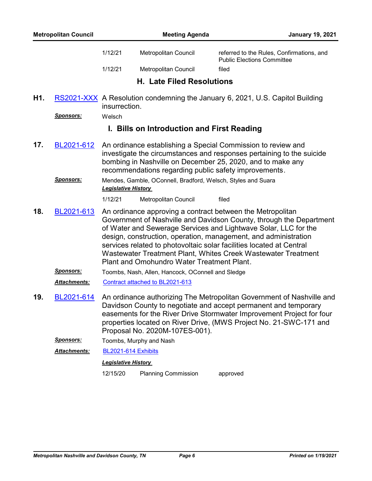|     | <b>Metropolitan Council</b>           |                            | <b>Meeting Agenda</b>                                                                                                 | <b>January 19, 2021</b>                                                                                                                                                                                                                                                                                                                                                                                          |
|-----|---------------------------------------|----------------------------|-----------------------------------------------------------------------------------------------------------------------|------------------------------------------------------------------------------------------------------------------------------------------------------------------------------------------------------------------------------------------------------------------------------------------------------------------------------------------------------------------------------------------------------------------|
|     |                                       | 1/12/21                    | Metropolitan Council                                                                                                  | referred to the Rules, Confirmations, and<br><b>Public Elections Committee</b>                                                                                                                                                                                                                                                                                                                                   |
|     |                                       | 1/12/21                    | Metropolitan Council                                                                                                  | filed                                                                                                                                                                                                                                                                                                                                                                                                            |
|     |                                       |                            | <b>H. Late Filed Resolutions</b>                                                                                      |                                                                                                                                                                                                                                                                                                                                                                                                                  |
| H1. |                                       | insurrection.              |                                                                                                                       | RS2021-XXX A Resolution condemning the January 6, 2021, U.S. Capitol Building                                                                                                                                                                                                                                                                                                                                    |
|     | <b>Sponsors:</b>                      | Welsch                     |                                                                                                                       |                                                                                                                                                                                                                                                                                                                                                                                                                  |
|     |                                       |                            | I. Bills on Introduction and First Reading                                                                            |                                                                                                                                                                                                                                                                                                                                                                                                                  |
| 17. | <u>BL2021-612</u><br><u>Sponsors:</u> | <b>Legislative History</b> | recommendations regarding public safety improvements.<br>Mendes, Gamble, OConnell, Bradford, Welsch, Styles and Suara | An ordinance establishing a Special Commission to review and<br>investigate the circumstances and responses pertaining to the suicide<br>bombing in Nashville on December 25, 2020, and to make any                                                                                                                                                                                                              |
|     |                                       | 1/12/21                    | Metropolitan Council                                                                                                  | filed                                                                                                                                                                                                                                                                                                                                                                                                            |
| 18. | BL2021-613                            |                            | Plant and Omohundro Water Treatment Plant.                                                                            | An ordinance approving a contract between the Metropolitan<br>Government of Nashville and Davidson County, through the Department<br>of Water and Sewerage Services and Lightwave Solar, LLC for the<br>design, construction, operation, management, and administration<br>services related to photovoltaic solar facilities located at Central<br>Wastewater Treatment Plant, Whites Creek Wastewater Treatment |
|     | <b>Sponsors:</b>                      |                            | Toombs, Nash, Allen, Hancock, OConnell and Sledge                                                                     |                                                                                                                                                                                                                                                                                                                                                                                                                  |
|     | Attachments:                          |                            | Contract attached to BL2021-613                                                                                       |                                                                                                                                                                                                                                                                                                                                                                                                                  |
| 19. | <u>BL2021-614</u>                     |                            | Proposal No. 2020M-107ES-001).                                                                                        | An ordinance authorizing The Metropolitan Government of Nashville and<br>Davidson County to negotiate and accept permanent and temporary<br>easements for the River Drive Stormwater Improvement Project for four<br>properties located on River Drive, (MWS Project No. 21-SWC-171 and                                                                                                                          |
|     | Sponsors:                             |                            | Toombs, Murphy and Nash                                                                                               |                                                                                                                                                                                                                                                                                                                                                                                                                  |
|     | Attachments:                          | BL2021-614 Exhibits        |                                                                                                                       |                                                                                                                                                                                                                                                                                                                                                                                                                  |
|     |                                       | <b>Legislative History</b> |                                                                                                                       |                                                                                                                                                                                                                                                                                                                                                                                                                  |
|     |                                       | 12/15/20                   | <b>Planning Commission</b>                                                                                            | approved                                                                                                                                                                                                                                                                                                                                                                                                         |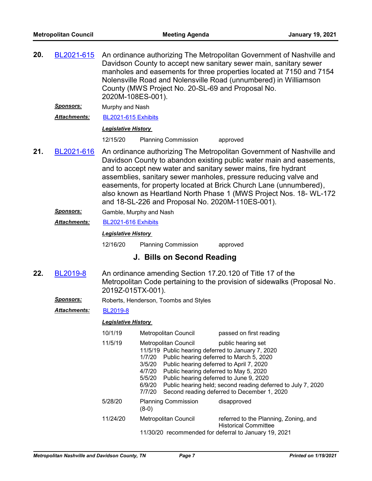| 20. | BL2021-615          | 2020M-108ES-001).          | An ordinance authorizing The Metropolitan Government of Nashville and<br>Davidson County to accept new sanitary sewer main, sanitary sewer<br>manholes and easements for three properties located at 7150 and 7154<br>Nolensville Road and Nolensville Road (unnumbered) in Williamson<br>County (MWS Project No. 20-SL-69 and Proposal No.                                                                                                                                         |                                                                                                                                                                                                                                                                      |  |
|-----|---------------------|----------------------------|-------------------------------------------------------------------------------------------------------------------------------------------------------------------------------------------------------------------------------------------------------------------------------------------------------------------------------------------------------------------------------------------------------------------------------------------------------------------------------------|----------------------------------------------------------------------------------------------------------------------------------------------------------------------------------------------------------------------------------------------------------------------|--|
|     | Sponsors:           | Murphy and Nash            |                                                                                                                                                                                                                                                                                                                                                                                                                                                                                     |                                                                                                                                                                                                                                                                      |  |
|     | <b>Attachments:</b> | BL2021-615 Exhibits        |                                                                                                                                                                                                                                                                                                                                                                                                                                                                                     |                                                                                                                                                                                                                                                                      |  |
|     |                     | <b>Legislative History</b> |                                                                                                                                                                                                                                                                                                                                                                                                                                                                                     |                                                                                                                                                                                                                                                                      |  |
|     |                     | 12/15/20                   | <b>Planning Commission</b>                                                                                                                                                                                                                                                                                                                                                                                                                                                          | approved                                                                                                                                                                                                                                                             |  |
| 21. | BL2021-616          |                            | An ordinance authorizing The Metropolitan Government of Nashville and<br>Davidson County to abandon existing public water main and easements,<br>and to accept new water and sanitary sewer mains, fire hydrant<br>assemblies, sanitary sewer manholes, pressure reducing valve and<br>easements, for property located at Brick Church Lane (unnumbered),<br>also known as Heartland North Phase 1 (MWS Project Nos. 18- WL-172<br>and 18-SL-226 and Proposal No. 2020M-110ES-001). |                                                                                                                                                                                                                                                                      |  |
|     | Sponsors:           |                            | Gamble, Murphy and Nash                                                                                                                                                                                                                                                                                                                                                                                                                                                             |                                                                                                                                                                                                                                                                      |  |
|     | <b>Attachments:</b> |                            | BL2021-616 Exhibits                                                                                                                                                                                                                                                                                                                                                                                                                                                                 |                                                                                                                                                                                                                                                                      |  |
|     |                     | <b>Legislative History</b> |                                                                                                                                                                                                                                                                                                                                                                                                                                                                                     |                                                                                                                                                                                                                                                                      |  |
|     |                     | 12/16/20                   | <b>Planning Commission</b>                                                                                                                                                                                                                                                                                                                                                                                                                                                          | approved                                                                                                                                                                                                                                                             |  |
|     |                     |                            | J. Bills on Second Reading                                                                                                                                                                                                                                                                                                                                                                                                                                                          |                                                                                                                                                                                                                                                                      |  |
| 22. | BL2019-8            | 2019Z-015TX-001).          |                                                                                                                                                                                                                                                                                                                                                                                                                                                                                     | An ordinance amending Section 17.20.120 of Title 17 of the<br>Metropolitan Code pertaining to the provision of sidewalks (Proposal No.                                                                                                                               |  |
|     | <u>Sponsors:</u>    |                            | Roberts, Henderson, Toombs and Styles                                                                                                                                                                                                                                                                                                                                                                                                                                               |                                                                                                                                                                                                                                                                      |  |
|     | <b>Attachments:</b> | <b>BL2019-8</b>            |                                                                                                                                                                                                                                                                                                                                                                                                                                                                                     |                                                                                                                                                                                                                                                                      |  |
|     |                     | <b>Legislative History</b> |                                                                                                                                                                                                                                                                                                                                                                                                                                                                                     |                                                                                                                                                                                                                                                                      |  |
|     |                     | 10/1/19                    | Metropolitan Council                                                                                                                                                                                                                                                                                                                                                                                                                                                                | passed on first reading                                                                                                                                                                                                                                              |  |
|     |                     | 11/5/19                    | <b>Metropolitan Council</b><br>11/5/19 Public hearing deferred to January 7, 2020<br>1/7/20<br>3/5/20<br>4/7/20<br>Public hearing deferred to May 5, 2020<br>5/5/20<br>6/9/20<br>7/7/20                                                                                                                                                                                                                                                                                             | public hearing set<br>Public hearing deferred to March 5, 2020<br>Public hearing deferred to April 7, 2020<br>Public hearing deferred to June 9, 2020<br>Public hearing held; second reading deferred to July 7, 2020<br>Second reading deferred to December 1, 2020 |  |
|     |                     | 5/28/20                    | <b>Planning Commission</b><br>$(8-0)$                                                                                                                                                                                                                                                                                                                                                                                                                                               | disapproved                                                                                                                                                                                                                                                          |  |
|     |                     | 11/24/20                   | Metropolitan Council<br>11/30/20 recommended for deferral to January 19, 2021                                                                                                                                                                                                                                                                                                                                                                                                       | referred to the Planning, Zoning, and<br><b>Historical Committee</b>                                                                                                                                                                                                 |  |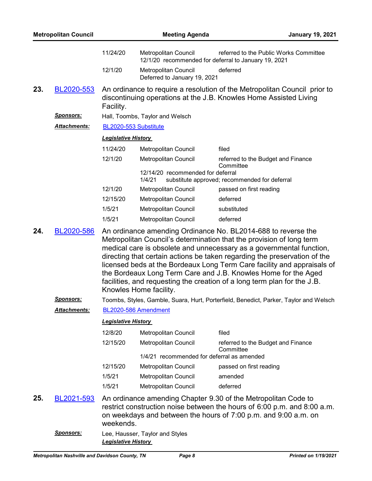|     | <b>Metropolitan Council</b> |                            | <b>Meeting Agenda</b>                                              | <b>January 19, 2021</b>                                                                                                                                                                                                                                                                                                                                                                                                                                                                                             |
|-----|-----------------------------|----------------------------|--------------------------------------------------------------------|---------------------------------------------------------------------------------------------------------------------------------------------------------------------------------------------------------------------------------------------------------------------------------------------------------------------------------------------------------------------------------------------------------------------------------------------------------------------------------------------------------------------|
|     |                             | 11/24/20                   | Metropolitan Council                                               | referred to the Public Works Committee<br>12/1/20 recommended for deferral to January 19, 2021                                                                                                                                                                                                                                                                                                                                                                                                                      |
|     |                             | 12/1/20                    | Metropolitan Council<br>Deferred to January 19, 2021               | deferred                                                                                                                                                                                                                                                                                                                                                                                                                                                                                                            |
| 23. | BL2020-553                  | Facility.                  |                                                                    | An ordinance to require a resolution of the Metropolitan Council prior to<br>discontinuing operations at the J.B. Knowles Home Assisted Living                                                                                                                                                                                                                                                                                                                                                                      |
|     | <u>Sponsors:</u>            |                            | Hall, Toombs, Taylor and Welsch                                    |                                                                                                                                                                                                                                                                                                                                                                                                                                                                                                                     |
|     | <u> Attachments:</u>        |                            | BL2020-553 Substitute                                              |                                                                                                                                                                                                                                                                                                                                                                                                                                                                                                                     |
|     |                             | <b>Legislative History</b> |                                                                    |                                                                                                                                                                                                                                                                                                                                                                                                                                                                                                                     |
|     |                             | 11/24/20                   | Metropolitan Council                                               | filed                                                                                                                                                                                                                                                                                                                                                                                                                                                                                                               |
|     |                             | 12/1/20                    | Metropolitan Council                                               | referred to the Budget and Finance                                                                                                                                                                                                                                                                                                                                                                                                                                                                                  |
|     |                             |                            | 12/14/20 recommended for deferral<br>1/4/21                        | Committee<br>substitute approved; recommended for deferral                                                                                                                                                                                                                                                                                                                                                                                                                                                          |
|     |                             | 12/1/20                    | Metropolitan Council                                               | passed on first reading                                                                                                                                                                                                                                                                                                                                                                                                                                                                                             |
|     |                             | 12/15/20                   | Metropolitan Council                                               | deferred                                                                                                                                                                                                                                                                                                                                                                                                                                                                                                            |
|     |                             | 1/5/21                     | Metropolitan Council                                               | substituted                                                                                                                                                                                                                                                                                                                                                                                                                                                                                                         |
|     |                             | 1/5/21                     | Metropolitan Council                                               | deferred                                                                                                                                                                                                                                                                                                                                                                                                                                                                                                            |
| 24. | BL2020-586                  |                            | Knowles Home facility.                                             | An ordinance amending Ordinance No. BL2014-688 to reverse the<br>Metropolitan Council's determination that the provision of long term<br>medical care is obsolete and unnecessary as a governmental function,<br>directing that certain actions be taken regarding the preservation of the<br>licensed beds at the Bordeaux Long Term Care facility and appraisals of<br>the Bordeaux Long Term Care and J.B. Knowles Home for the Aged<br>facilities, and requesting the creation of a long term plan for the J.B. |
|     | <u>Sponsors:</u>            |                            |                                                                    | Toombs, Styles, Gamble, Suara, Hurt, Porterfield, Benedict, Parker, Taylor and Welsch                                                                                                                                                                                                                                                                                                                                                                                                                               |
|     | <b>Attachments:</b>         |                            | BL2020-586 Amendment                                               |                                                                                                                                                                                                                                                                                                                                                                                                                                                                                                                     |
|     |                             | <b>Legislative History</b> |                                                                    |                                                                                                                                                                                                                                                                                                                                                                                                                                                                                                                     |
|     |                             | 12/8/20                    | Metropolitan Council                                               | filed                                                                                                                                                                                                                                                                                                                                                                                                                                                                                                               |
|     |                             | 12/15/20                   | Metropolitan Council<br>1/4/21 recommended for deferral as amended | referred to the Budget and Finance<br>Committee                                                                                                                                                                                                                                                                                                                                                                                                                                                                     |
|     |                             | 12/15/20                   | Metropolitan Council                                               | passed on first reading                                                                                                                                                                                                                                                                                                                                                                                                                                                                                             |
|     |                             | 1/5/21                     | Metropolitan Council                                               | amended                                                                                                                                                                                                                                                                                                                                                                                                                                                                                                             |
|     |                             | 1/5/21                     | Metropolitan Council                                               | deferred                                                                                                                                                                                                                                                                                                                                                                                                                                                                                                            |
| 25. | BL2021-593                  | weekends.                  |                                                                    | An ordinance amending Chapter 9.30 of the Metropolitan Code to<br>restrict construction noise between the hours of 6:00 p.m. and 8:00 a.m.<br>on weekdays and between the hours of 7:00 p.m. and 9:00 a.m. on                                                                                                                                                                                                                                                                                                       |
|     | <u>Sponsors:</u>            | <b>Legislative History</b> | Lee, Hausser, Taylor and Styles                                    |                                                                                                                                                                                                                                                                                                                                                                                                                                                                                                                     |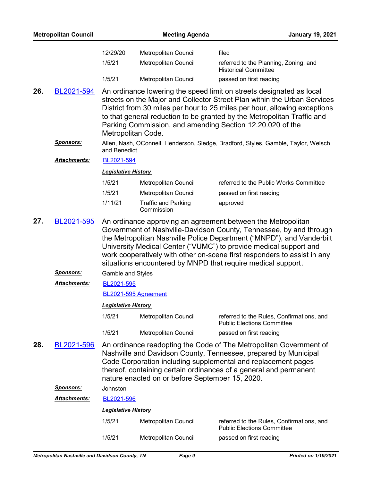|     | <b>Metropolitan Council</b> |                            | <b>Meeting Agenda</b>                           | <b>January 19, 2021</b>                                                                                                                                                                                                                                                                                                                                                                                                      |
|-----|-----------------------------|----------------------------|-------------------------------------------------|------------------------------------------------------------------------------------------------------------------------------------------------------------------------------------------------------------------------------------------------------------------------------------------------------------------------------------------------------------------------------------------------------------------------------|
|     |                             | 12/29/20                   | Metropolitan Council                            | filed                                                                                                                                                                                                                                                                                                                                                                                                                        |
|     |                             | 1/5/21                     | Metropolitan Council                            | referred to the Planning, Zoning, and<br><b>Historical Committee</b>                                                                                                                                                                                                                                                                                                                                                         |
|     |                             | 1/5/21                     | Metropolitan Council                            | passed on first reading                                                                                                                                                                                                                                                                                                                                                                                                      |
| 26. | BL2021-594                  |                            | Metropolitan Code.                              | An ordinance lowering the speed limit on streets designated as local<br>streets on the Major and Collector Street Plan within the Urban Services<br>District from 30 miles per hour to 25 miles per hour, allowing exceptions<br>to that general reduction to be granted by the Metropolitan Traffic and<br>Parking Commission, and amending Section 12.20.020 of the                                                        |
|     | <b>Sponsors:</b>            | and Benedict               |                                                 | Allen, Nash, OConnell, Henderson, Sledge, Bradford, Styles, Gamble, Taylor, Welsch                                                                                                                                                                                                                                                                                                                                           |
|     | Attachments:                | BL2021-594                 |                                                 |                                                                                                                                                                                                                                                                                                                                                                                                                              |
|     |                             | <b>Legislative History</b> |                                                 |                                                                                                                                                                                                                                                                                                                                                                                                                              |
|     |                             | 1/5/21                     | Metropolitan Council                            | referred to the Public Works Committee                                                                                                                                                                                                                                                                                                                                                                                       |
|     |                             | 1/5/21                     | Metropolitan Council                            | passed on first reading                                                                                                                                                                                                                                                                                                                                                                                                      |
|     |                             | 1/11/21                    | <b>Traffic and Parking</b><br>Commission        | approved                                                                                                                                                                                                                                                                                                                                                                                                                     |
| 27. | BL2021-595                  |                            |                                                 | An ordinance approving an agreement between the Metropolitan<br>Government of Nashville-Davidson County, Tennessee, by and through<br>the Metropolitan Nashville Police Department ("MNPD"), and Vanderbilt<br>University Medical Center ("VUMC") to provide medical support and<br>work cooperatively with other on-scene first responders to assist in any<br>situations encountered by MNPD that require medical support. |
|     | <b>Sponsors:</b>            | <b>Gamble and Styles</b>   |                                                 |                                                                                                                                                                                                                                                                                                                                                                                                                              |
|     | Attachments:                | BL2021-595                 |                                                 |                                                                                                                                                                                                                                                                                                                                                                                                                              |
|     |                             |                            | BL2021-595 Agreement                            |                                                                                                                                                                                                                                                                                                                                                                                                                              |
|     |                             | <b>Legislative History</b> |                                                 |                                                                                                                                                                                                                                                                                                                                                                                                                              |
|     |                             | 1/5/21                     | Metropolitan Council                            | referred to the Rules, Confirmations, and<br><b>Public Elections Committee</b>                                                                                                                                                                                                                                                                                                                                               |
|     |                             | 1/5/21                     | Metropolitan Council                            | passed on first reading                                                                                                                                                                                                                                                                                                                                                                                                      |
| 28. | BL2021-596                  |                            | nature enacted on or before September 15, 2020. | An ordinance readopting the Code of The Metropolitan Government of<br>Nashville and Davidson County, Tennessee, prepared by Municipal<br>Code Corporation including supplemental and replacement pages<br>thereof, containing certain ordinances of a general and permanent                                                                                                                                                  |
|     | <u>Sponsors:</u>            | Johnston                   |                                                 |                                                                                                                                                                                                                                                                                                                                                                                                                              |
|     | <b>Attachments:</b>         | BL2021-596                 |                                                 |                                                                                                                                                                                                                                                                                                                                                                                                                              |
|     |                             | <b>Legislative History</b> |                                                 |                                                                                                                                                                                                                                                                                                                                                                                                                              |
|     |                             | 1/5/21                     | Metropolitan Council                            | referred to the Rules, Confirmations, and<br><b>Public Elections Committee</b>                                                                                                                                                                                                                                                                                                                                               |
|     |                             | 1/5/21                     | Metropolitan Council                            | passed on first reading                                                                                                                                                                                                                                                                                                                                                                                                      |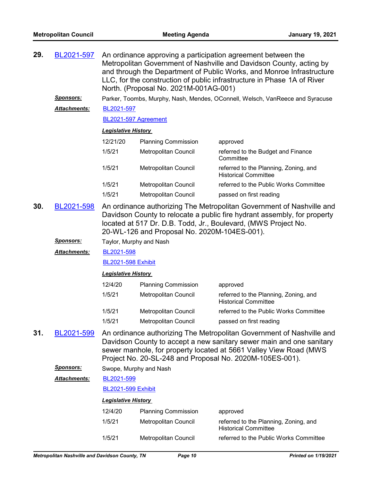| 29. | BL2021-597           | An ordinance approving a participation agreement between the<br>Metropolitan Government of Nashville and Davidson County, acting by<br>and through the Department of Public Works, and Monroe Infrastructure<br>LLC, for the construction of public infrastructure in Phase 1A of River<br>North. (Proposal No. 2021M-001AG-001) |                            |                                                                                                                                                                                                                                                                                |
|-----|----------------------|----------------------------------------------------------------------------------------------------------------------------------------------------------------------------------------------------------------------------------------------------------------------------------------------------------------------------------|----------------------------|--------------------------------------------------------------------------------------------------------------------------------------------------------------------------------------------------------------------------------------------------------------------------------|
|     | <u>Sponsors:</u>     |                                                                                                                                                                                                                                                                                                                                  |                            | Parker, Toombs, Murphy, Nash, Mendes, OConnell, Welsch, VanReece and Syracuse                                                                                                                                                                                                  |
|     | <u> Attachments:</u> | BL2021-597                                                                                                                                                                                                                                                                                                                       |                            |                                                                                                                                                                                                                                                                                |
|     |                      | BL2021-597 Agreement                                                                                                                                                                                                                                                                                                             |                            |                                                                                                                                                                                                                                                                                |
|     |                      | <b>Legislative History</b>                                                                                                                                                                                                                                                                                                       |                            |                                                                                                                                                                                                                                                                                |
|     |                      | 12/21/20                                                                                                                                                                                                                                                                                                                         | <b>Planning Commission</b> | approved                                                                                                                                                                                                                                                                       |
|     |                      | 1/5/21                                                                                                                                                                                                                                                                                                                           | Metropolitan Council       | referred to the Budget and Finance<br>Committee                                                                                                                                                                                                                                |
|     |                      | 1/5/21                                                                                                                                                                                                                                                                                                                           | Metropolitan Council       | referred to the Planning, Zoning, and<br><b>Historical Committee</b>                                                                                                                                                                                                           |
|     |                      | 1/5/21                                                                                                                                                                                                                                                                                                                           | Metropolitan Council       | referred to the Public Works Committee                                                                                                                                                                                                                                         |
|     |                      | 1/5/21                                                                                                                                                                                                                                                                                                                           | Metropolitan Council       | passed on first reading                                                                                                                                                                                                                                                        |
| 30. | BL2021-598           | An ordinance authorizing The Metropolitan Government of Nashville and<br>Davidson County to relocate a public fire hydrant assembly, for property<br>located at 517 Dr. D.B. Todd, Jr., Boulevard, (MWS Project No.<br>20-WL-126 and Proposal No. 2020M-104ES-001).                                                              |                            |                                                                                                                                                                                                                                                                                |
|     | <u>Sponsors:</u>     | Taylor, Murphy and Nash                                                                                                                                                                                                                                                                                                          |                            |                                                                                                                                                                                                                                                                                |
|     | <u> Attachments:</u> | BL2021-598                                                                                                                                                                                                                                                                                                                       |                            |                                                                                                                                                                                                                                                                                |
|     |                      | <b>BL2021-598 Exhibit</b>                                                                                                                                                                                                                                                                                                        |                            |                                                                                                                                                                                                                                                                                |
|     |                      | <b>Legislative History</b>                                                                                                                                                                                                                                                                                                       |                            |                                                                                                                                                                                                                                                                                |
|     |                      | 12/4/20                                                                                                                                                                                                                                                                                                                          | <b>Planning Commission</b> | approved                                                                                                                                                                                                                                                                       |
|     |                      | 1/5/21                                                                                                                                                                                                                                                                                                                           | Metropolitan Council       | referred to the Planning, Zoning, and<br><b>Historical Committee</b>                                                                                                                                                                                                           |
|     |                      | 1/5/21                                                                                                                                                                                                                                                                                                                           | Metropolitan Council       | referred to the Public Works Committee                                                                                                                                                                                                                                         |
|     |                      | 1/5/21                                                                                                                                                                                                                                                                                                                           | Metropolitan Council       | passed on first reading                                                                                                                                                                                                                                                        |
| 31. | BL2021-599           |                                                                                                                                                                                                                                                                                                                                  |                            | An ordinance authorizing The Metropolitan Government of Nashville and<br>Davidson County to accept a new sanitary sewer main and one sanitary<br>sewer manhole, for property located at 5661 Valley View Road (MWS<br>Project No. 20-SL-248 and Proposal No. 2020M-105ES-001). |
|     | <b>Sponsors:</b>     | Swope, Murphy and Nash                                                                                                                                                                                                                                                                                                           |                            |                                                                                                                                                                                                                                                                                |
|     | <b>Attachments:</b>  | BL2021-599                                                                                                                                                                                                                                                                                                                       |                            |                                                                                                                                                                                                                                                                                |
|     |                      | <b>BL2021-599 Exhibit</b>                                                                                                                                                                                                                                                                                                        |                            |                                                                                                                                                                                                                                                                                |
|     |                      | <b>Legislative History</b>                                                                                                                                                                                                                                                                                                       |                            |                                                                                                                                                                                                                                                                                |
|     |                      | 12/4/20                                                                                                                                                                                                                                                                                                                          | <b>Planning Commission</b> | approved                                                                                                                                                                                                                                                                       |
|     |                      | 1/5/21                                                                                                                                                                                                                                                                                                                           | Metropolitan Council       | referred to the Planning, Zoning, and<br><b>Historical Committee</b>                                                                                                                                                                                                           |
|     |                      | 1/5/21                                                                                                                                                                                                                                                                                                                           | Metropolitan Council       | referred to the Public Works Committee                                                                                                                                                                                                                                         |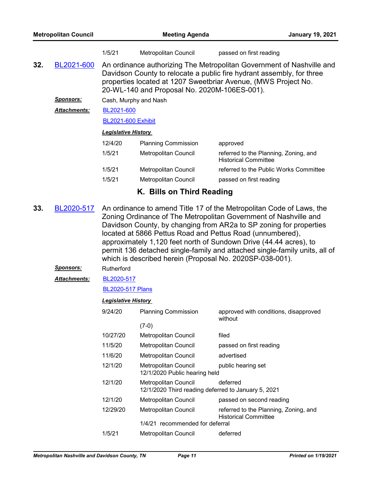| <b>Metropolitan Council</b> |                     | <b>Meeting Agenda</b>      |                                                                                                                                                                                                                                                                  |                                                                      | <b>January 19, 2021</b> |
|-----------------------------|---------------------|----------------------------|------------------------------------------------------------------------------------------------------------------------------------------------------------------------------------------------------------------------------------------------------------------|----------------------------------------------------------------------|-------------------------|
|                             |                     | 1/5/21                     | Metropolitan Council                                                                                                                                                                                                                                             | passed on first reading                                              |                         |
| 32.                         | BL2021-600          |                            | An ordinance authorizing The Metropolitan Government of Nashville and<br>Davidson County to relocate a public fire hydrant assembly, for three<br>properties located at 1207 Sweetbriar Avenue, (MWS Project No.<br>20-WL-140 and Proposal No. 2020M-106ES-001). |                                                                      |                         |
|                             | <b>Sponsors:</b>    |                            | Cash, Murphy and Nash                                                                                                                                                                                                                                            |                                                                      |                         |
|                             | <b>Attachments:</b> |                            | BL2021-600                                                                                                                                                                                                                                                       |                                                                      |                         |
|                             |                     | <b>BL2021-600 Exhibit</b>  |                                                                                                                                                                                                                                                                  |                                                                      |                         |
|                             |                     | <b>Legislative History</b> |                                                                                                                                                                                                                                                                  |                                                                      |                         |
|                             |                     | 12/4/20                    | <b>Planning Commission</b>                                                                                                                                                                                                                                       | approved                                                             |                         |
|                             |                     | 1/5/21                     | Metropolitan Council                                                                                                                                                                                                                                             | referred to the Planning, Zoning, and<br><b>Historical Committee</b> |                         |
|                             |                     | 1/5/21                     | Metropolitan Council                                                                                                                                                                                                                                             | referred to the Public Works Committee                               |                         |
|                             |                     | 1/5/21                     | Metropolitan Council                                                                                                                                                                                                                                             | passed on first reading                                              |                         |
|                             |                     |                            |                                                                                                                                                                                                                                                                  |                                                                      |                         |

- **K. Bills on Third Reading**
- An ordinance to amend Title 17 of the Metropolitan Code of Laws, the Zoning Ordinance of The Metropolitan Government of Nashville and Davidson County, by changing from AR2a to SP zoning for properties located at 5866 Pettus Road and Pettus Road (unnumbered), approximately 1,120 feet north of Sundown Drive (44.44 acres), to permit 136 detached single-family and attached single-family units, all of which is described herein (Proposal No. 2020SP-038-001). **33.** [BL2020-517](http://nashville.legistar.com/gateway.aspx?m=l&id=/matter.aspx?key=1567)
	- *Sponsors:* Rutherford
	- [BL2020-517](http://nashville.legistar.com/gateway.aspx?M=F&ID=a0ecd73a-bb8a-4a20-b7a8-464001357ac2.pdf) *Attachments:*

[BL2020-517 Plans](http://nashville.legistar.com/gateway.aspx?M=F&ID=7507ebbb-3a26-4fe3-bb79-7c062cd09bdb.pdf)

| 9/24/20  | <b>Planning Commission</b>                                                  | approved with conditions, disapproved<br>without                     |  |
|----------|-----------------------------------------------------------------------------|----------------------------------------------------------------------|--|
|          | $(7-0)$                                                                     |                                                                      |  |
| 10/27/20 | <b>Metropolitan Council</b>                                                 | filed                                                                |  |
| 11/5/20  | Metropolitan Council                                                        | passed on first reading                                              |  |
| 11/6/20  | Metropolitan Council                                                        | advertised                                                           |  |
| 12/1/20  | <b>Metropolitan Council</b><br>12/1/2020 Public hearing held                | public hearing set                                                   |  |
| 12/1/20  | Metropolitan Council<br>12/1/2020 Third reading deferred to January 5, 2021 | deferred                                                             |  |
| 12/1/20  | Metropolitan Council                                                        | passed on second reading                                             |  |
| 12/29/20 | Metropolitan Council                                                        | referred to the Planning, Zoning, and<br><b>Historical Committee</b> |  |
|          | 1/4/21 recommended for deferral                                             |                                                                      |  |
| 1/5/21   | Metropolitan Council                                                        | deferred                                                             |  |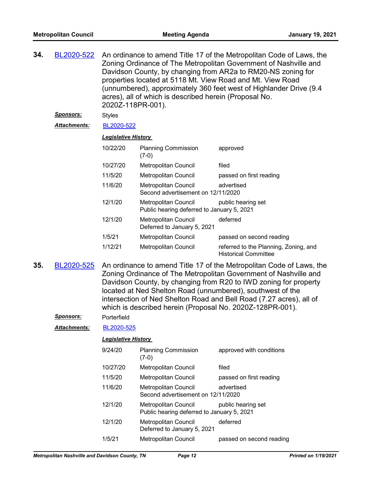| 34. | BL2020-522   |                            | An ordinance to amend Title 17 of the Metropolitan Code of Laws, the<br>Zoning Ordinance of The Metropolitan Government of Nashville and<br>Davidson County, by changing from AR2a to RM20-NS zoning for<br>properties located at 5118 Mt. View Road and Mt. View Road<br>(unnumbered), approximately 360 feet west of Highlander Drive (9.4<br>acres), all of which is described herein (Proposal No.<br>2020Z-118PR-001). |                                                                                                                                                                                                                                                                                                                                                   |  |
|-----|--------------|----------------------------|-----------------------------------------------------------------------------------------------------------------------------------------------------------------------------------------------------------------------------------------------------------------------------------------------------------------------------------------------------------------------------------------------------------------------------|---------------------------------------------------------------------------------------------------------------------------------------------------------------------------------------------------------------------------------------------------------------------------------------------------------------------------------------------------|--|
|     | Sponsors:    | <b>Styles</b>              |                                                                                                                                                                                                                                                                                                                                                                                                                             |                                                                                                                                                                                                                                                                                                                                                   |  |
|     | Attachments: | BL2020-522                 |                                                                                                                                                                                                                                                                                                                                                                                                                             |                                                                                                                                                                                                                                                                                                                                                   |  |
|     |              | <b>Legislative History</b> |                                                                                                                                                                                                                                                                                                                                                                                                                             |                                                                                                                                                                                                                                                                                                                                                   |  |
|     |              | 10/22/20                   | <b>Planning Commission</b><br>$(7-0)$                                                                                                                                                                                                                                                                                                                                                                                       | approved                                                                                                                                                                                                                                                                                                                                          |  |
|     |              | 10/27/20                   | Metropolitan Council                                                                                                                                                                                                                                                                                                                                                                                                        | filed                                                                                                                                                                                                                                                                                                                                             |  |
|     |              | 11/5/20                    | Metropolitan Council                                                                                                                                                                                                                                                                                                                                                                                                        | passed on first reading                                                                                                                                                                                                                                                                                                                           |  |
|     |              | 11/6/20                    | Metropolitan Council<br>Second advertisement on 12/11/2020                                                                                                                                                                                                                                                                                                                                                                  | advertised                                                                                                                                                                                                                                                                                                                                        |  |
|     |              | 12/1/20                    | Metropolitan Council<br>Public hearing deferred to January 5, 2021                                                                                                                                                                                                                                                                                                                                                          | public hearing set                                                                                                                                                                                                                                                                                                                                |  |
|     |              | 12/1/20                    | Metropolitan Council<br>Deferred to January 5, 2021                                                                                                                                                                                                                                                                                                                                                                         | deferred                                                                                                                                                                                                                                                                                                                                          |  |
|     |              | 1/5/21                     | Metropolitan Council                                                                                                                                                                                                                                                                                                                                                                                                        | passed on second reading                                                                                                                                                                                                                                                                                                                          |  |
|     |              | 1/12/21                    | Metropolitan Council                                                                                                                                                                                                                                                                                                                                                                                                        | referred to the Planning, Zoning, and<br><b>Historical Committee</b>                                                                                                                                                                                                                                                                              |  |
| 35. | BL2020-525   |                            |                                                                                                                                                                                                                                                                                                                                                                                                                             | An ordinance to amend Title 17 of the Metropolitan Code of Laws, the<br>Zoning Ordinance of The Metropolitan Government of Nashville and<br>Davidson County, by changing from R20 to IWD zoning for property<br>located at Ned Shelton Road (unnumbered), southwest of the<br>intersection of Ned Shelton Road and Bell Road (7.27 acres), all of |  |

*Sponsors:* Porterfield

*Attachments:* [BL2020-525](http://nashville.legistar.com/gateway.aspx?M=F&ID=e7367d42-8217-4dbd-a22d-9e4c5f505783.pdf)

#### *Legislative History*

| 9/24/20  | <b>Planning Commission</b><br>(7-0)                                | approved with conditions |
|----------|--------------------------------------------------------------------|--------------------------|
| 10/27/20 | <b>Metropolitan Council</b>                                        | filed                    |
| 11/5/20  | Metropolitan Council                                               | passed on first reading  |
| 11/6/20  | <b>Metropolitan Council</b><br>Second advertisement on 12/11/2020  | advertised               |
| 12/1/20  | Metropolitan Council<br>Public hearing deferred to January 5, 2021 | public hearing set       |
| 12/1/20  | <b>Metropolitan Council</b><br>Deferred to January 5, 2021         | deferred                 |
| 1/5/21   | <b>Metropolitan Council</b>                                        | passed on second reading |

which is described herein (Proposal No. 2020Z-128PR-001).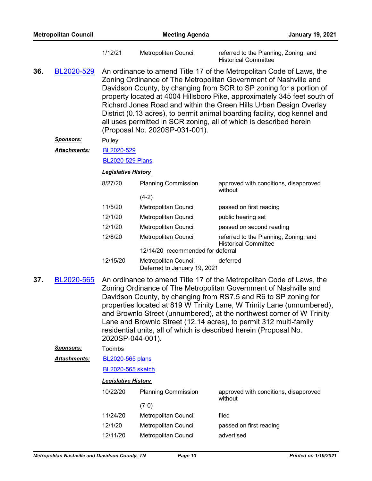|     |                     | 1/12/21                                                                                                                                                                                                                                                                                                                                                                                                                                                                                                                      | Metropolitan Council                                      | referred to the Planning, Zoning, and<br><b>Historical Committee</b>                                                                                                                                                                                                                                                                                                                                                                                                                                                 |
|-----|---------------------|------------------------------------------------------------------------------------------------------------------------------------------------------------------------------------------------------------------------------------------------------------------------------------------------------------------------------------------------------------------------------------------------------------------------------------------------------------------------------------------------------------------------------|-----------------------------------------------------------|----------------------------------------------------------------------------------------------------------------------------------------------------------------------------------------------------------------------------------------------------------------------------------------------------------------------------------------------------------------------------------------------------------------------------------------------------------------------------------------------------------------------|
| 36. | BL2020-529          |                                                                                                                                                                                                                                                                                                                                                                                                                                                                                                                              | (Proposal No. 2020SP-031-001).                            | An ordinance to amend Title 17 of the Metropolitan Code of Laws, the<br>Zoning Ordinance of The Metropolitan Government of Nashville and<br>Davidson County, by changing from SCR to SP zoning for a portion of<br>property located at 4004 Hillsboro Pike, approximately 345 feet south of<br>Richard Jones Road and within the Green Hills Urban Design Overlay<br>District (0.13 acres), to permit animal boarding facility, dog kennel and<br>all uses permitted in SCR zoning, all of which is described herein |
|     | <u>Sponsors:</u>    | Pulley                                                                                                                                                                                                                                                                                                                                                                                                                                                                                                                       |                                                           |                                                                                                                                                                                                                                                                                                                                                                                                                                                                                                                      |
|     | <b>Attachments:</b> | BL2020-529                                                                                                                                                                                                                                                                                                                                                                                                                                                                                                                   |                                                           |                                                                                                                                                                                                                                                                                                                                                                                                                                                                                                                      |
|     |                     | <b>BL2020-529 Plans</b>                                                                                                                                                                                                                                                                                                                                                                                                                                                                                                      |                                                           |                                                                                                                                                                                                                                                                                                                                                                                                                                                                                                                      |
|     |                     | <b>Legislative History</b>                                                                                                                                                                                                                                                                                                                                                                                                                                                                                                   |                                                           |                                                                                                                                                                                                                                                                                                                                                                                                                                                                                                                      |
|     |                     | 8/27/20                                                                                                                                                                                                                                                                                                                                                                                                                                                                                                                      | <b>Planning Commission</b>                                | approved with conditions, disapproved<br>without                                                                                                                                                                                                                                                                                                                                                                                                                                                                     |
|     |                     |                                                                                                                                                                                                                                                                                                                                                                                                                                                                                                                              | $(4-2)$                                                   |                                                                                                                                                                                                                                                                                                                                                                                                                                                                                                                      |
|     |                     | 11/5/20                                                                                                                                                                                                                                                                                                                                                                                                                                                                                                                      | Metropolitan Council                                      | passed on first reading                                                                                                                                                                                                                                                                                                                                                                                                                                                                                              |
|     |                     | 12/1/20                                                                                                                                                                                                                                                                                                                                                                                                                                                                                                                      | Metropolitan Council                                      | public hearing set                                                                                                                                                                                                                                                                                                                                                                                                                                                                                                   |
|     |                     | 12/1/20                                                                                                                                                                                                                                                                                                                                                                                                                                                                                                                      | Metropolitan Council                                      | passed on second reading                                                                                                                                                                                                                                                                                                                                                                                                                                                                                             |
|     |                     | 12/8/20                                                                                                                                                                                                                                                                                                                                                                                                                                                                                                                      | Metropolitan Council<br>12/14/20 recommended for deferral | referred to the Planning, Zoning, and<br><b>Historical Committee</b>                                                                                                                                                                                                                                                                                                                                                                                                                                                 |
|     |                     | 12/15/20                                                                                                                                                                                                                                                                                                                                                                                                                                                                                                                     | Metropolitan Council<br>Deferred to January 19, 2021      | deferred                                                                                                                                                                                                                                                                                                                                                                                                                                                                                                             |
| 37. | BL2020-565          | An ordinance to amend Title 17 of the Metropolitan Code of Laws, the<br>Zoning Ordinance of The Metropolitan Government of Nashville and<br>Davidson County, by changing from RS7.5 and R6 to SP zoning for<br>properties located at 819 W Trinity Lane, W Trinity Lane (unnumbered),<br>and Brownlo Street (unnumbered), at the northwest corner of W Trinity<br>Lane and Brownlo Street (12.14 acres), to permit 312 multi-family<br>residential units, all of which is described herein (Proposal No.<br>2020SP-044-001). |                                                           |                                                                                                                                                                                                                                                                                                                                                                                                                                                                                                                      |
|     | <b>Sponsors:</b>    | Toombs                                                                                                                                                                                                                                                                                                                                                                                                                                                                                                                       |                                                           |                                                                                                                                                                                                                                                                                                                                                                                                                                                                                                                      |
|     | Attachments:        | <b>BL2020-565 plans</b>                                                                                                                                                                                                                                                                                                                                                                                                                                                                                                      |                                                           |                                                                                                                                                                                                                                                                                                                                                                                                                                                                                                                      |
|     |                     | BL2020-565 sketch                                                                                                                                                                                                                                                                                                                                                                                                                                                                                                            |                                                           |                                                                                                                                                                                                                                                                                                                                                                                                                                                                                                                      |
|     |                     | <b>Legislative History</b>                                                                                                                                                                                                                                                                                                                                                                                                                                                                                                   |                                                           |                                                                                                                                                                                                                                                                                                                                                                                                                                                                                                                      |
|     |                     | 10/22/20                                                                                                                                                                                                                                                                                                                                                                                                                                                                                                                     | <b>Planning Commission</b>                                | approved with conditions, disapproved<br>without                                                                                                                                                                                                                                                                                                                                                                                                                                                                     |
|     |                     |                                                                                                                                                                                                                                                                                                                                                                                                                                                                                                                              | $(7-0)$                                                   |                                                                                                                                                                                                                                                                                                                                                                                                                                                                                                                      |
|     |                     | 11/24/20                                                                                                                                                                                                                                                                                                                                                                                                                                                                                                                     | Metropolitan Council                                      | filed                                                                                                                                                                                                                                                                                                                                                                                                                                                                                                                |
|     |                     | 12/1/20                                                                                                                                                                                                                                                                                                                                                                                                                                                                                                                      | Metropolitan Council                                      | passed on first reading                                                                                                                                                                                                                                                                                                                                                                                                                                                                                              |

12/11/20 Metropolitan Council advertised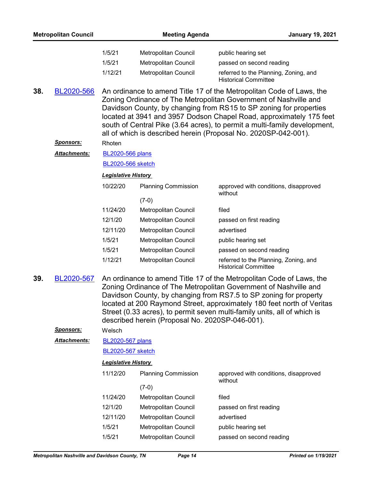|     | <b>Metropolitan Council</b> |                                                                                                                                                                                                                                                                                                                                                                                                                                       | <b>Meeting Agenda</b>           | <b>January 19, 2021</b>                                              |  |  |
|-----|-----------------------------|---------------------------------------------------------------------------------------------------------------------------------------------------------------------------------------------------------------------------------------------------------------------------------------------------------------------------------------------------------------------------------------------------------------------------------------|---------------------------------|----------------------------------------------------------------------|--|--|
|     |                             | 1/5/21                                                                                                                                                                                                                                                                                                                                                                                                                                | Metropolitan Council            | public hearing set                                                   |  |  |
|     |                             | 1/5/21                                                                                                                                                                                                                                                                                                                                                                                                                                | Metropolitan Council            | passed on second reading                                             |  |  |
|     |                             | 1/12/21                                                                                                                                                                                                                                                                                                                                                                                                                               | Metropolitan Council            | referred to the Planning, Zoning, and<br><b>Historical Committee</b> |  |  |
| 38. | BL2020-566                  | An ordinance to amend Title 17 of the Metropolitan Code of Laws, the<br>Zoning Ordinance of The Metropolitan Government of Nashville and<br>Davidson County, by changing from RS15 to SP zoning for properties<br>located at 3941 and 3957 Dodson Chapel Road, approximately 175 feet<br>south of Central Pike (3.64 acres), to permit a multi-family development,<br>all of which is described herein (Proposal No. 2020SP-042-001). |                                 |                                                                      |  |  |
|     | <b>Sponsors:</b>            | Rhoten                                                                                                                                                                                                                                                                                                                                                                                                                                |                                 |                                                                      |  |  |
|     | <b>Attachments:</b>         | <b>BL2020-566 plans</b>                                                                                                                                                                                                                                                                                                                                                                                                               |                                 |                                                                      |  |  |
|     |                             | BL2020-566 sketch                                                                                                                                                                                                                                                                                                                                                                                                                     |                                 |                                                                      |  |  |
|     |                             | <b>Legislative History</b>                                                                                                                                                                                                                                                                                                                                                                                                            |                                 |                                                                      |  |  |
|     |                             | 10/22/20                                                                                                                                                                                                                                                                                                                                                                                                                              | <b>Planning Commission</b>      | approved with conditions, disapproved<br>without                     |  |  |
|     |                             | 11/24/20                                                                                                                                                                                                                                                                                                                                                                                                                              | $(7-0)$<br>Metropolitan Council | filed                                                                |  |  |
|     |                             | 12/1/20                                                                                                                                                                                                                                                                                                                                                                                                                               | Metropolitan Council            | passed on first reading                                              |  |  |
|     |                             | 12/11/20                                                                                                                                                                                                                                                                                                                                                                                                                              | Metropolitan Council            | advertised                                                           |  |  |
|     |                             | 1/5/21                                                                                                                                                                                                                                                                                                                                                                                                                                | Metropolitan Council            | public hearing set                                                   |  |  |
|     |                             | 1/5/21                                                                                                                                                                                                                                                                                                                                                                                                                                | Metropolitan Council            | passed on second reading                                             |  |  |
|     |                             | 1/12/21                                                                                                                                                                                                                                                                                                                                                                                                                               | Metropolitan Council            | referred to the Planning, Zoning, and<br><b>Historical Committee</b> |  |  |
| 39. | BL2020-567                  | An ordinance to amend Title 17 of the Metropolitan Code of Laws, the<br>Zoning Ordinance of The Metropolitan Government of Nashville and<br>Davidson County, by changing from RS7.5 to SP zoning for property<br>located at 200 Raymond Street, approximately 180 feet north of Veritas<br>Street (0.33 acres), to permit seven multi-family units, all of which is<br>described herein (Proposal No. 2020SP-046-001).                |                                 |                                                                      |  |  |
|     | Sponsors:                   | Welsch                                                                                                                                                                                                                                                                                                                                                                                                                                |                                 |                                                                      |  |  |
|     | Attachments:                | <b>BL2020-567 plans</b>                                                                                                                                                                                                                                                                                                                                                                                                               |                                 |                                                                      |  |  |
|     |                             | <b>BL2020-567 sketch</b>                                                                                                                                                                                                                                                                                                                                                                                                              |                                 |                                                                      |  |  |
|     |                             | <b>Legislative History</b>                                                                                                                                                                                                                                                                                                                                                                                                            |                                 |                                                                      |  |  |
|     |                             | 11/12/20                                                                                                                                                                                                                                                                                                                                                                                                                              | <b>Planning Commission</b>      | approved with conditions, disapproved<br>without                     |  |  |
|     |                             |                                                                                                                                                                                                                                                                                                                                                                                                                                       | $(7-0)$                         |                                                                      |  |  |
|     |                             | 11/24/20                                                                                                                                                                                                                                                                                                                                                                                                                              | Metropolitan Council            | filed                                                                |  |  |
|     |                             | 12/1/20                                                                                                                                                                                                                                                                                                                                                                                                                               | Metropolitan Council            | passed on first reading                                              |  |  |
|     |                             | 12/11/20                                                                                                                                                                                                                                                                                                                                                                                                                              | Metropolitan Council            | advertised                                                           |  |  |
|     |                             | 1/5/21                                                                                                                                                                                                                                                                                                                                                                                                                                | Metropolitan Council            | public hearing set                                                   |  |  |
|     |                             | 1/5/21                                                                                                                                                                                                                                                                                                                                                                                                                                | Metropolitan Council            | passed on second reading                                             |  |  |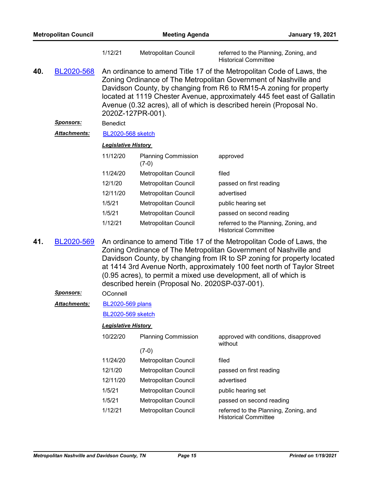| <b>Metropolitan Council</b> |                      | <b>Meeting Agenda</b>                                                                                                                                                                                                                                                                                                                                                                                                |                                       | <b>January 19, 2021</b>                                                                                                                                                                                                                                                                                                                                          |  |
|-----------------------------|----------------------|----------------------------------------------------------------------------------------------------------------------------------------------------------------------------------------------------------------------------------------------------------------------------------------------------------------------------------------------------------------------------------------------------------------------|---------------------------------------|------------------------------------------------------------------------------------------------------------------------------------------------------------------------------------------------------------------------------------------------------------------------------------------------------------------------------------------------------------------|--|
|                             |                      | 1/12/21                                                                                                                                                                                                                                                                                                                                                                                                              | Metropolitan Council                  | referred to the Planning, Zoning, and<br><b>Historical Committee</b>                                                                                                                                                                                                                                                                                             |  |
| 40.                         | BL2020-568           |                                                                                                                                                                                                                                                                                                                                                                                                                      | 2020Z-127PR-001).                     | An ordinance to amend Title 17 of the Metropolitan Code of Laws, the<br>Zoning Ordinance of The Metropolitan Government of Nashville and<br>Davidson County, by changing from R6 to RM15-A zoning for property<br>located at 1119 Chester Avenue, approximately 445 feet east of Gallatin<br>Avenue (0.32 acres), all of which is described herein (Proposal No. |  |
|                             | <u>Sponsors:</u>     | <b>Benedict</b>                                                                                                                                                                                                                                                                                                                                                                                                      |                                       |                                                                                                                                                                                                                                                                                                                                                                  |  |
|                             | <u> Attachments:</u> | <b>BL2020-568 sketch</b>                                                                                                                                                                                                                                                                                                                                                                                             |                                       |                                                                                                                                                                                                                                                                                                                                                                  |  |
|                             |                      | <b>Legislative History</b>                                                                                                                                                                                                                                                                                                                                                                                           |                                       |                                                                                                                                                                                                                                                                                                                                                                  |  |
|                             |                      | 11/12/20                                                                                                                                                                                                                                                                                                                                                                                                             | <b>Planning Commission</b><br>$(7-0)$ | approved                                                                                                                                                                                                                                                                                                                                                         |  |
|                             |                      | 11/24/20                                                                                                                                                                                                                                                                                                                                                                                                             | Metropolitan Council                  | filed                                                                                                                                                                                                                                                                                                                                                            |  |
|                             |                      | 12/1/20                                                                                                                                                                                                                                                                                                                                                                                                              | Metropolitan Council                  | passed on first reading                                                                                                                                                                                                                                                                                                                                          |  |
|                             |                      | 12/11/20                                                                                                                                                                                                                                                                                                                                                                                                             | Metropolitan Council                  | advertised                                                                                                                                                                                                                                                                                                                                                       |  |
|                             |                      | 1/5/21                                                                                                                                                                                                                                                                                                                                                                                                               | Metropolitan Council                  | public hearing set                                                                                                                                                                                                                                                                                                                                               |  |
|                             |                      | 1/5/21                                                                                                                                                                                                                                                                                                                                                                                                               | Metropolitan Council                  | passed on second reading                                                                                                                                                                                                                                                                                                                                         |  |
|                             |                      | 1/12/21                                                                                                                                                                                                                                                                                                                                                                                                              | Metropolitan Council                  | referred to the Planning, Zoning, and<br><b>Historical Committee</b>                                                                                                                                                                                                                                                                                             |  |
| 41.                         | BL2020-569           | An ordinance to amend Title 17 of the Metropolitan Code of Laws, the<br>Zoning Ordinance of The Metropolitan Government of Nashville and<br>Davidson County, by changing from IR to SP zoning for property located<br>at 1414 3rd Avenue North, approximately 100 feet north of Taylor Street<br>(0.95 acres), to permit a mixed use development, all of which is<br>described herein (Proposal No. 2020SP-037-001). |                                       |                                                                                                                                                                                                                                                                                                                                                                  |  |
|                             | Sponsors:            | OConnell                                                                                                                                                                                                                                                                                                                                                                                                             |                                       |                                                                                                                                                                                                                                                                                                                                                                  |  |
|                             | Attachments:         | <b>BL2020-569 plans</b>                                                                                                                                                                                                                                                                                                                                                                                              |                                       |                                                                                                                                                                                                                                                                                                                                                                  |  |
|                             |                      | <b>BL2020-569 sketch</b>                                                                                                                                                                                                                                                                                                                                                                                             |                                       |                                                                                                                                                                                                                                                                                                                                                                  |  |
|                             |                      | <b>Legislative History</b>                                                                                                                                                                                                                                                                                                                                                                                           |                                       |                                                                                                                                                                                                                                                                                                                                                                  |  |
|                             |                      | 10/22/20                                                                                                                                                                                                                                                                                                                                                                                                             | <b>Planning Commission</b>            | approved with conditions, disapproved<br>without                                                                                                                                                                                                                                                                                                                 |  |
|                             |                      |                                                                                                                                                                                                                                                                                                                                                                                                                      | $(7-0)$                               |                                                                                                                                                                                                                                                                                                                                                                  |  |
|                             |                      | 11/24/20                                                                                                                                                                                                                                                                                                                                                                                                             | Metropolitan Council                  | filed                                                                                                                                                                                                                                                                                                                                                            |  |
|                             |                      | 12/1/20                                                                                                                                                                                                                                                                                                                                                                                                              | Metropolitan Council                  | passed on first reading                                                                                                                                                                                                                                                                                                                                          |  |

12/11/20 Metropolitan Council advertised

1/5/21 Metropolitan Council public hearing set

1/5/21 Metropolitan Council passed on second reading

1/12/21 Metropolitan Council referred to the Planning, Zoning, and

Historical Committee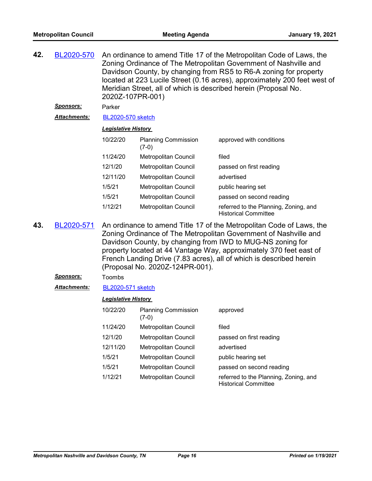An ordinance to amend Title 17 of the Metropolitan Code of Laws, the Zoning Ordinance of The Metropolitan Government of Nashville and Davidson County, by changing from RS5 to R6-A zoning for property located at 223 Lucile Street (0.16 acres), approximately 200 feet west of Meridian Street, all of which is described herein (Proposal No. 2020Z-107PR-001) **42.** [BL2020-570](http://nashville.legistar.com/gateway.aspx?m=l&id=/matter.aspx?key=1654)

*Sponsors:* Parker

*Attachments:* [BL2020-570 sketch](http://nashville.legistar.com/gateway.aspx?M=F&ID=3be222d1-bed8-4898-8eff-8a08a0d3cf22.docx)

#### *Legislative History*

| 10/22/20 | <b>Planning Commission</b><br>$(7-0)$ | approved with conditions                                             |
|----------|---------------------------------------|----------------------------------------------------------------------|
| 11/24/20 | Metropolitan Council                  | filed                                                                |
| 12/1/20  | <b>Metropolitan Council</b>           | passed on first reading                                              |
| 12/11/20 | Metropolitan Council                  | advertised                                                           |
| 1/5/21   | Metropolitan Council                  | public hearing set                                                   |
| 1/5/21   | Metropolitan Council                  | passed on second reading                                             |
| 1/12/21  | Metropolitan Council                  | referred to the Planning, Zoning, and<br><b>Historical Committee</b> |

- An ordinance to amend Title 17 of the Metropolitan Code of Laws, the Zoning Ordinance of The Metropolitan Government of Nashville and Davidson County, by changing from IWD to MUG-NS zoning for property located at 44 Vantage Way, approximately 370 feet east of French Landing Drive (7.83 acres), all of which is described herein (Proposal No. 2020Z-124PR-001). **43.** [BL2020-571](http://nashville.legistar.com/gateway.aspx?m=l&id=/matter.aspx?key=1655)
	- *Sponsors:* Toombs
	- *Attachments:* [BL2020-571 sketch](http://nashville.legistar.com/gateway.aspx?M=F&ID=40fac3cb-8cba-4cbf-809a-1ab37228fda2.docx)

| 10/22/20 | <b>Planning Commission</b><br>$(7-0)$ | approved                                                             |
|----------|---------------------------------------|----------------------------------------------------------------------|
| 11/24/20 | Metropolitan Council                  | filed                                                                |
| 12/1/20  | Metropolitan Council                  | passed on first reading                                              |
| 12/11/20 | Metropolitan Council                  | advertised                                                           |
| 1/5/21   | Metropolitan Council                  | public hearing set                                                   |
| 1/5/21   | Metropolitan Council                  | passed on second reading                                             |
| 1/12/21  | Metropolitan Council                  | referred to the Planning, Zoning, and<br><b>Historical Committee</b> |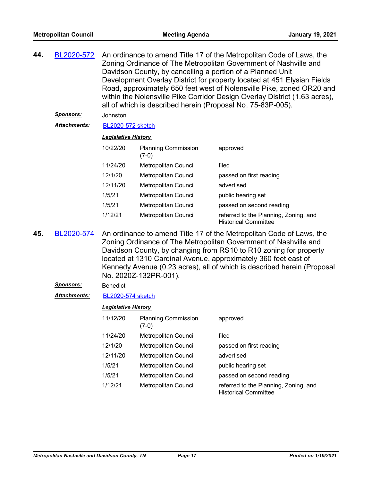| 44. | BL2020-572       | An ordinance to amend Title 17 of the Metropolitan Code of Laws, the<br>Zoning Ordinance of The Metropolitan Government of Nashville and<br>Davidson County, by cancelling a portion of a Planned Unit<br>Development Overlay District for property located at 451 Elysian Fields<br>Road, approximately 650 feet west of Nolensville Pike, zoned OR20 and<br>within the Nolensville Pike Corridor Design Overlay District (1.63 acres),<br>all of which is described herein (Proposal No. 75-83P-005). |                                       |                                                                                                  |  |  |
|-----|------------------|---------------------------------------------------------------------------------------------------------------------------------------------------------------------------------------------------------------------------------------------------------------------------------------------------------------------------------------------------------------------------------------------------------------------------------------------------------------------------------------------------------|---------------------------------------|--------------------------------------------------------------------------------------------------|--|--|
|     | <b>Sponsors:</b> | Johnston                                                                                                                                                                                                                                                                                                                                                                                                                                                                                                |                                       |                                                                                                  |  |  |
|     | Attachments:     | BL2020-572 sketch                                                                                                                                                                                                                                                                                                                                                                                                                                                                                       |                                       |                                                                                                  |  |  |
|     |                  | <b>Legislative History</b>                                                                                                                                                                                                                                                                                                                                                                                                                                                                              |                                       |                                                                                                  |  |  |
|     |                  | 10/22/20                                                                                                                                                                                                                                                                                                                                                                                                                                                                                                | <b>Planning Commission</b><br>$(7-0)$ | approved                                                                                         |  |  |
|     |                  | 11/24/20                                                                                                                                                                                                                                                                                                                                                                                                                                                                                                | <b>Metropolitan Council</b>           | filed                                                                                            |  |  |
|     |                  | 12/1/20                                                                                                                                                                                                                                                                                                                                                                                                                                                                                                 | <b>Metropolitan Council</b>           | passed on first reading                                                                          |  |  |
|     |                  | 12/11/20                                                                                                                                                                                                                                                                                                                                                                                                                                                                                                | <b>Metropolitan Council</b>           | advertised                                                                                       |  |  |
|     |                  | 1/5/21                                                                                                                                                                                                                                                                                                                                                                                                                                                                                                  | Metropolitan Council                  | public hearing set                                                                               |  |  |
|     |                  | 1/5/21                                                                                                                                                                                                                                                                                                                                                                                                                                                                                                  | Metropolitan Council                  | passed on second reading                                                                         |  |  |
|     |                  | 1/12/21                                                                                                                                                                                                                                                                                                                                                                                                                                                                                                 | <b>Metropolitan Council</b>           | referred to the Planning, Zoning, and<br><b>Historical Committee</b>                             |  |  |
|     |                  |                                                                                                                                                                                                                                                                                                                                                                                                                                                                                                         |                                       | $\mathbf{D}$ l 0000 F74 . As collected to concert T31, 47 of the Motors House Order of Lance the |  |  |

An ordinance to amend Title 17 of the Metropolitan Code of Laws, the Zoning Ordinance of The Metropolitan Government of Nashville and Davidson County, by changing from RS10 to R10 zoning for property located at 1310 Cardinal Avenue, approximately 360 feet east of Kennedy Avenue (0.23 acres), all of which is described herein (Proposal No. 2020Z-132PR-001). **45.** [BL2020-574](http://nashville.legistar.com/gateway.aspx?m=l&id=/matter.aspx?key=1683)

## Sponsors: Benedict

*Attachments:* [BL2020-574 sketch](http://nashville.legistar.com/gateway.aspx?M=F&ID=590afa49-5d14-494b-8317-942453d7b504.docx)

| 11/12/20 | <b>Planning Commission</b><br>$(7-0)$ | approved                                                             |
|----------|---------------------------------------|----------------------------------------------------------------------|
| 11/24/20 | Metropolitan Council                  | filed                                                                |
| 12/1/20  | Metropolitan Council                  | passed on first reading                                              |
| 12/11/20 | Metropolitan Council                  | advertised                                                           |
| 1/5/21   | Metropolitan Council                  | public hearing set                                                   |
| 1/5/21   | Metropolitan Council                  | passed on second reading                                             |
| 1/12/21  | Metropolitan Council                  | referred to the Planning, Zoning, and<br><b>Historical Committee</b> |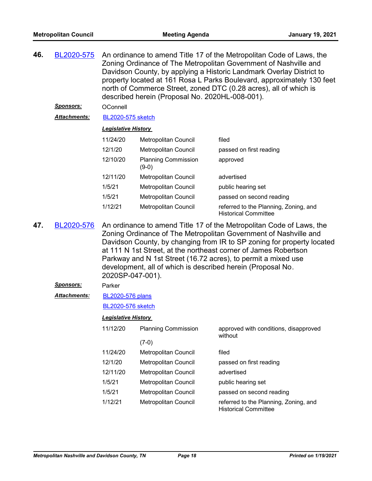| 46. | BL2020-575       | An ordinance to amend Title 17 of the Metropolitan Code of Laws, the<br>Zoning Ordinance of The Metropolitan Government of Nashville and<br>Davidson County, by applying a Historic Landmark Overlay District to<br>property located at 161 Rosa L Parks Boulevard, approximately 130 feet<br>north of Commerce Street, zoned DTC (0.28 acres), all of which is<br>described herein (Proposal No. 2020HL-008-001).                        |                                       |                                                                      |  |  |
|-----|------------------|-------------------------------------------------------------------------------------------------------------------------------------------------------------------------------------------------------------------------------------------------------------------------------------------------------------------------------------------------------------------------------------------------------------------------------------------|---------------------------------------|----------------------------------------------------------------------|--|--|
|     | <u>Sponsors:</u> | OConnell                                                                                                                                                                                                                                                                                                                                                                                                                                  |                                       |                                                                      |  |  |
|     | Attachments:     | <b>BL2020-575 sketch</b>                                                                                                                                                                                                                                                                                                                                                                                                                  |                                       |                                                                      |  |  |
|     |                  | <b>Legislative History</b>                                                                                                                                                                                                                                                                                                                                                                                                                |                                       |                                                                      |  |  |
|     |                  | 11/24/20                                                                                                                                                                                                                                                                                                                                                                                                                                  | Metropolitan Council                  | filed                                                                |  |  |
|     |                  | 12/1/20                                                                                                                                                                                                                                                                                                                                                                                                                                   | Metropolitan Council                  | passed on first reading                                              |  |  |
|     |                  | 12/10/20                                                                                                                                                                                                                                                                                                                                                                                                                                  | <b>Planning Commission</b><br>$(9-0)$ | approved                                                             |  |  |
|     |                  | 12/11/20                                                                                                                                                                                                                                                                                                                                                                                                                                  | Metropolitan Council                  | advertised                                                           |  |  |
|     |                  | 1/5/21                                                                                                                                                                                                                                                                                                                                                                                                                                    | Metropolitan Council                  | public hearing set                                                   |  |  |
|     |                  | 1/5/21                                                                                                                                                                                                                                                                                                                                                                                                                                    | Metropolitan Council                  | passed on second reading                                             |  |  |
|     |                  | 1/12/21                                                                                                                                                                                                                                                                                                                                                                                                                                   | <b>Metropolitan Council</b>           | referred to the Planning, Zoning, and<br><b>Historical Committee</b> |  |  |
| 47. | BL2020-576       | An ordinance to amend Title 17 of the Metropolitan Code of Laws, the<br>Zoning Ordinance of The Metropolitan Government of Nashville and<br>Davidson County, by changing from IR to SP zoning for property located<br>at 111 N 1st Street, at the northeast corner of James Robertson<br>Parkway and N 1st Street (16.72 acres), to permit a mixed use<br>development, all of which is described herein (Proposal No.<br>2020SP-047-001). |                                       |                                                                      |  |  |
|     | <b>Sponsors:</b> | Parker                                                                                                                                                                                                                                                                                                                                                                                                                                    |                                       |                                                                      |  |  |
|     | Attachments:     | <b>BL2020-576 plans</b>                                                                                                                                                                                                                                                                                                                                                                                                                   |                                       |                                                                      |  |  |
|     |                  | <b>BL2020-576 sketch</b>                                                                                                                                                                                                                                                                                                                                                                                                                  |                                       |                                                                      |  |  |
|     |                  | <b>Legislative History</b>                                                                                                                                                                                                                                                                                                                                                                                                                |                                       |                                                                      |  |  |
|     |                  | 11/12/20                                                                                                                                                                                                                                                                                                                                                                                                                                  | <b>Planning Commission</b>            | approved with conditions, disapproved<br>without                     |  |  |
|     |                  |                                                                                                                                                                                                                                                                                                                                                                                                                                           | $(7-0)$                               |                                                                      |  |  |
|     |                  | 11/24/20                                                                                                                                                                                                                                                                                                                                                                                                                                  | Metropolitan Council                  | filed                                                                |  |  |
|     |                  | 12/1/20                                                                                                                                                                                                                                                                                                                                                                                                                                   | Metropolitan Council                  | passed on first reading                                              |  |  |
|     |                  | 12/11/20                                                                                                                                                                                                                                                                                                                                                                                                                                  | Metropolitan Council                  | advertised                                                           |  |  |
|     |                  | 1/5/21                                                                                                                                                                                                                                                                                                                                                                                                                                    | <b>Metropolitan Council</b>           | public hearing set                                                   |  |  |
|     |                  | 1/5/21                                                                                                                                                                                                                                                                                                                                                                                                                                    | Metropolitan Council                  | passed on second reading                                             |  |  |
|     |                  | 1/12/21                                                                                                                                                                                                                                                                                                                                                                                                                                   | Metropolitan Council                  | referred to the Planning, Zoning, and<br><b>Historical Committee</b> |  |  |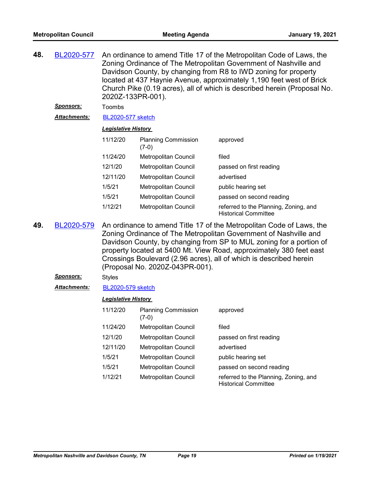| 48. | BL2020-577          | An ordinance to amend Title 17 of the Metropolitan Code of Laws, the<br>Zoning Ordinance of The Metropolitan Government of Nashville and<br>Davidson County, by changing from R8 to IWD zoning for property<br>located at 437 Haynie Avenue, approximately 1,190 feet west of Brick<br>Church Pike (0.19 acres), all of which is described herein (Proposal No.<br>2020Z-133PR-001).<br>Toombs |                                       |                                                                      |  |
|-----|---------------------|------------------------------------------------------------------------------------------------------------------------------------------------------------------------------------------------------------------------------------------------------------------------------------------------------------------------------------------------------------------------------------------------|---------------------------------------|----------------------------------------------------------------------|--|
|     | <u>Sponsors:</u>    |                                                                                                                                                                                                                                                                                                                                                                                                |                                       |                                                                      |  |
|     | <b>Attachments:</b> | <b>BL2020-577 sketch</b>                                                                                                                                                                                                                                                                                                                                                                       |                                       |                                                                      |  |
|     |                     | <b>Legislative History</b>                                                                                                                                                                                                                                                                                                                                                                     |                                       |                                                                      |  |
|     |                     | 11/12/20                                                                                                                                                                                                                                                                                                                                                                                       | <b>Planning Commission</b><br>$(7-0)$ | approved                                                             |  |
|     |                     | 11/24/20                                                                                                                                                                                                                                                                                                                                                                                       | <b>Metropolitan Council</b>           | filed                                                                |  |
|     |                     | 12/1/20                                                                                                                                                                                                                                                                                                                                                                                        | <b>Metropolitan Council</b>           | passed on first reading                                              |  |
|     |                     | 12/11/20                                                                                                                                                                                                                                                                                                                                                                                       | <b>Metropolitan Council</b>           | advertised                                                           |  |
|     |                     | 1/5/21                                                                                                                                                                                                                                                                                                                                                                                         | <b>Metropolitan Council</b>           | public hearing set                                                   |  |
|     |                     | 1/5/21                                                                                                                                                                                                                                                                                                                                                                                         | <b>Metropolitan Council</b>           | passed on second reading                                             |  |
|     |                     | 1/12/21                                                                                                                                                                                                                                                                                                                                                                                        | Metropolitan Council                  | referred to the Planning, Zoning, and<br><b>Historical Committee</b> |  |

An ordinance to amend Title 17 of the Metropolitan Code of Laws, the Zoning Ordinance of The Metropolitan Government of Nashville and Davidson County, by changing from SP to MUL zoning for a portion of property located at 5400 Mt. View Road, approximately 380 feet east Crossings Boulevard (2.96 acres), all of which is described herein (Proposal No. 2020Z-043PR-001). **49.** [BL2020-579](http://nashville.legistar.com/gateway.aspx?m=l&id=/matter.aspx?key=1679)

## *Sponsors:* Styles

*Attachments:* [BL2020-579 sketch](http://nashville.legistar.com/gateway.aspx?M=F&ID=3251f24e-3586-44bd-9790-197d0d6b3bc3.docx)

| 11/12/20 | <b>Planning Commission</b><br>$(7-0)$ | approved                                                             |
|----------|---------------------------------------|----------------------------------------------------------------------|
| 11/24/20 | Metropolitan Council                  | filed                                                                |
| 12/1/20  | Metropolitan Council                  | passed on first reading                                              |
| 12/11/20 | Metropolitan Council                  | advertised                                                           |
| 1/5/21   | Metropolitan Council                  | public hearing set                                                   |
| 1/5/21   | Metropolitan Council                  | passed on second reading                                             |
| 1/12/21  | Metropolitan Council                  | referred to the Planning, Zoning, and<br><b>Historical Committee</b> |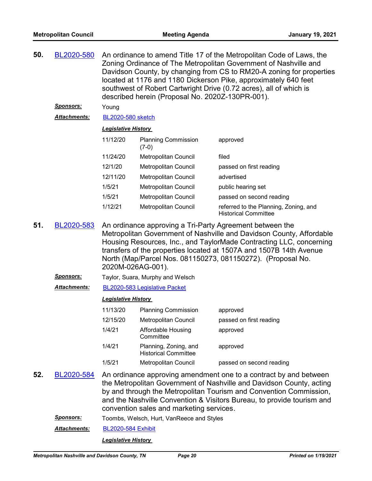| 50. | An ordinance to amend Title 17 of the Metropolitan Code of Laws, the<br>BL2020-580<br>Zoning Ordinance of The Metropolitan Government of Nashville and<br>Davidson County, by changing from CS to RM20-A zoning for properties<br>located at 1176 and 1180 Dickerson Pike, approximately 640 feet<br>southwest of Robert Cartwright Drive (0.72 acres), all of which is<br>described herein (Proposal No. 2020Z-130PR-001). |                                                                                                                                                                                                                                                                                                                                                                   |                                                      |                                                                      |  |  |
|-----|-----------------------------------------------------------------------------------------------------------------------------------------------------------------------------------------------------------------------------------------------------------------------------------------------------------------------------------------------------------------------------------------------------------------------------|-------------------------------------------------------------------------------------------------------------------------------------------------------------------------------------------------------------------------------------------------------------------------------------------------------------------------------------------------------------------|------------------------------------------------------|----------------------------------------------------------------------|--|--|
|     | <u>Sponsors:</u>                                                                                                                                                                                                                                                                                                                                                                                                            | Young                                                                                                                                                                                                                                                                                                                                                             |                                                      |                                                                      |  |  |
|     | <u> Attachments:</u>                                                                                                                                                                                                                                                                                                                                                                                                        | <b>BL2020-580 sketch</b>                                                                                                                                                                                                                                                                                                                                          |                                                      |                                                                      |  |  |
|     |                                                                                                                                                                                                                                                                                                                                                                                                                             | <b>Legislative History</b>                                                                                                                                                                                                                                                                                                                                        |                                                      |                                                                      |  |  |
|     |                                                                                                                                                                                                                                                                                                                                                                                                                             | 11/12/20                                                                                                                                                                                                                                                                                                                                                          | <b>Planning Commission</b><br>$(7-0)$                | approved                                                             |  |  |
|     |                                                                                                                                                                                                                                                                                                                                                                                                                             | 11/24/20                                                                                                                                                                                                                                                                                                                                                          | Metropolitan Council                                 | filed                                                                |  |  |
|     |                                                                                                                                                                                                                                                                                                                                                                                                                             | 12/1/20                                                                                                                                                                                                                                                                                                                                                           | Metropolitan Council                                 | passed on first reading                                              |  |  |
|     |                                                                                                                                                                                                                                                                                                                                                                                                                             | 12/11/20                                                                                                                                                                                                                                                                                                                                                          | Metropolitan Council                                 | advertised                                                           |  |  |
|     |                                                                                                                                                                                                                                                                                                                                                                                                                             | 1/5/21                                                                                                                                                                                                                                                                                                                                                            | Metropolitan Council                                 | public hearing set                                                   |  |  |
|     |                                                                                                                                                                                                                                                                                                                                                                                                                             | 1/5/21                                                                                                                                                                                                                                                                                                                                                            | Metropolitan Council                                 | passed on second reading                                             |  |  |
|     |                                                                                                                                                                                                                                                                                                                                                                                                                             | 1/12/21                                                                                                                                                                                                                                                                                                                                                           | Metropolitan Council                                 | referred to the Planning, Zoning, and<br><b>Historical Committee</b> |  |  |
| 51. | BL2020-583                                                                                                                                                                                                                                                                                                                                                                                                                  | An ordinance approving a Tri-Party Agreement between the<br>Metropolitan Government of Nashville and Davidson County, Affordable<br>Housing Resources, Inc., and TaylorMade Contracting LLC, concerning<br>transfers of the properties located at 1507A and 1507B 14th Avenue<br>North (Map/Parcel Nos. 081150273, 081150272). (Proposal No.<br>2020M-026AG-001). |                                                      |                                                                      |  |  |
|     | Sponsors:                                                                                                                                                                                                                                                                                                                                                                                                                   | Taylor, Suara, Murphy and Welsch                                                                                                                                                                                                                                                                                                                                  |                                                      |                                                                      |  |  |
|     | <b>Attachments:</b>                                                                                                                                                                                                                                                                                                                                                                                                         |                                                                                                                                                                                                                                                                                                                                                                   | BL2020-583 Legislative Packet                        |                                                                      |  |  |
|     |                                                                                                                                                                                                                                                                                                                                                                                                                             | <b>Legislative History</b>                                                                                                                                                                                                                                                                                                                                        |                                                      |                                                                      |  |  |
|     |                                                                                                                                                                                                                                                                                                                                                                                                                             | 11/13/20                                                                                                                                                                                                                                                                                                                                                          | <b>Planning Commission</b>                           | approved                                                             |  |  |
|     |                                                                                                                                                                                                                                                                                                                                                                                                                             | 12/15/20                                                                                                                                                                                                                                                                                                                                                          | <b>Metropolitan Council</b>                          | passed on first reading                                              |  |  |
|     |                                                                                                                                                                                                                                                                                                                                                                                                                             | 1/4/21                                                                                                                                                                                                                                                                                                                                                            | Affordable Housing<br>Committee                      | approved                                                             |  |  |
|     |                                                                                                                                                                                                                                                                                                                                                                                                                             | 1/4/21                                                                                                                                                                                                                                                                                                                                                            | Planning, Zoning, and<br><b>Historical Committee</b> | approved                                                             |  |  |
|     |                                                                                                                                                                                                                                                                                                                                                                                                                             | 1/5/21                                                                                                                                                                                                                                                                                                                                                            | Metropolitan Council                                 | passed on second reading                                             |  |  |
| 52. | BL2020-584                                                                                                                                                                                                                                                                                                                                                                                                                  | An ordinance approving amendment one to a contract by and between<br>the Metropolitan Government of Nashville and Davidson County, acting<br>by and through the Metropolitan Tourism and Convention Commission,<br>and the Nashville Convention & Visitors Bureau, to provide tourism and<br>convention sales and marketing services.                             |                                                      |                                                                      |  |  |
|     | <u>Sponsors:</u>                                                                                                                                                                                                                                                                                                                                                                                                            |                                                                                                                                                                                                                                                                                                                                                                   | Toombs, Welsch, Hurt, VanReece and Styles            |                                                                      |  |  |
|     | Attachments:                                                                                                                                                                                                                                                                                                                                                                                                                | <b>BL2020-584 Exhibit</b>                                                                                                                                                                                                                                                                                                                                         |                                                      |                                                                      |  |  |
|     |                                                                                                                                                                                                                                                                                                                                                                                                                             | <b>Legislative History</b>                                                                                                                                                                                                                                                                                                                                        |                                                      |                                                                      |  |  |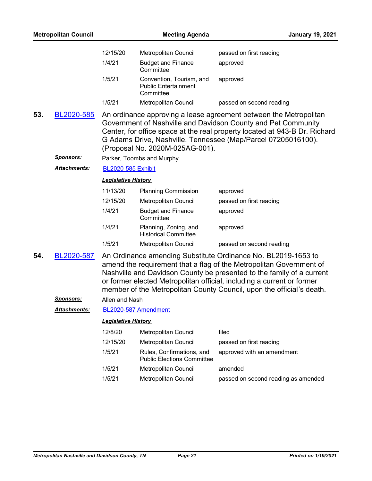| <b>Metropolitan Council</b> |                  | <b>Meeting Agenda</b>      |                                                                      | <b>January 19, 2021</b>                                                                                                                                                                                                                                                                                                                                          |
|-----------------------------|------------------|----------------------------|----------------------------------------------------------------------|------------------------------------------------------------------------------------------------------------------------------------------------------------------------------------------------------------------------------------------------------------------------------------------------------------------------------------------------------------------|
|                             |                  | 12/15/20                   | Metropolitan Council                                                 | passed on first reading                                                                                                                                                                                                                                                                                                                                          |
|                             |                  | 1/4/21                     | <b>Budget and Finance</b><br>Committee                               | approved                                                                                                                                                                                                                                                                                                                                                         |
|                             |                  | 1/5/21                     | Convention, Tourism, and<br><b>Public Entertainment</b><br>Committee | approved                                                                                                                                                                                                                                                                                                                                                         |
|                             |                  | 1/5/21                     | Metropolitan Council                                                 | passed on second reading                                                                                                                                                                                                                                                                                                                                         |
| 53.                         | BL2020-585       |                            | (Proposal No. 2020M-025AG-001).                                      | An ordinance approving a lease agreement between the Metropolitan<br>Government of Nashville and Davidson County and Pet Community<br>Center, for office space at the real property located at 943-B Dr. Richard<br>G Adams Drive, Nashville, Tennessee (Map/Parcel 07205016100).                                                                                |
|                             | <u>Sponsors:</u> |                            | Parker, Toombs and Murphy                                            |                                                                                                                                                                                                                                                                                                                                                                  |
|                             | Attachments:     | <b>BL2020-585 Exhibit</b>  |                                                                      |                                                                                                                                                                                                                                                                                                                                                                  |
|                             |                  | <b>Legislative History</b> |                                                                      |                                                                                                                                                                                                                                                                                                                                                                  |
|                             |                  | 11/13/20                   | <b>Planning Commission</b>                                           | approved                                                                                                                                                                                                                                                                                                                                                         |
|                             |                  | 12/15/20                   | Metropolitan Council                                                 | passed on first reading                                                                                                                                                                                                                                                                                                                                          |
|                             |                  | 1/4/21                     | <b>Budget and Finance</b><br>Committee                               | approved                                                                                                                                                                                                                                                                                                                                                         |
|                             |                  | 1/4/21                     | Planning, Zoning, and<br><b>Historical Committee</b>                 | approved                                                                                                                                                                                                                                                                                                                                                         |
|                             |                  | 1/5/21                     | Metropolitan Council                                                 | passed on second reading                                                                                                                                                                                                                                                                                                                                         |
| 54.                         | BL2020-587       |                            |                                                                      | An Ordinance amending Substitute Ordinance No. BL2019-1653 to<br>amend the requirement that a flag of the Metropolitan Government of<br>Nashville and Davidson County be presented to the family of a current<br>or former elected Metropolitan official, including a current or former<br>member of the Metropolitan County Council, upon the official's death. |
|                             | <b>Sponsors:</b> | Allen and Nash             |                                                                      |                                                                                                                                                                                                                                                                                                                                                                  |
|                             | Attachments:     | BL2020-587 Amendment       |                                                                      |                                                                                                                                                                                                                                                                                                                                                                  |
|                             |                  | <b>Legislative History</b> |                                                                      |                                                                                                                                                                                                                                                                                                                                                                  |
|                             |                  | 12/8/20                    | Metropolitan Council                                                 | filed                                                                                                                                                                                                                                                                                                                                                            |
|                             |                  | 12/15/20                   | Metropolitan Council                                                 | passed on first reading                                                                                                                                                                                                                                                                                                                                          |
|                             |                  | 1/5/21                     | Rules, Confirmations, and<br><b>Public Elections Committee</b>       | approved with an amendment                                                                                                                                                                                                                                                                                                                                       |
|                             |                  | 1/5/21                     | <b>Metropolitan Council</b>                                          | amended                                                                                                                                                                                                                                                                                                                                                          |
|                             |                  | 1/5/21                     | <b>Metropolitan Council</b>                                          | passed on second reading as amended                                                                                                                                                                                                                                                                                                                              |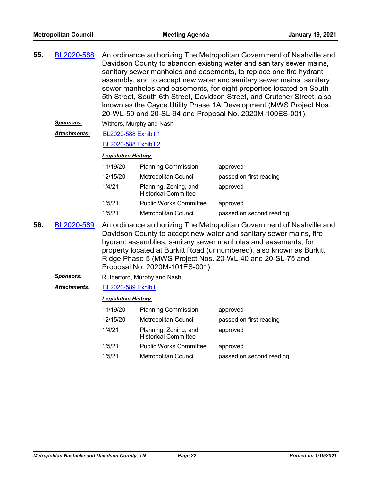| 55. | BL2020-588 | An ordinance authorizing The Metropolitan Government of Nashville and<br>Davidson County to abandon existing water and sanitary sewer mains,<br>sanitary sewer manholes and easements, to replace one fire hydrant<br>assembly, and to accept new water and sanitary sewer mains, sanitary<br>sewer manholes and easements, for eight properties located on South<br>5th Street, South 6th Street, Davidson Street, and Crutcher Street, also<br>known as the Cayce Utility Phase 1A Development (MWS Project Nos. |
|-----|------------|--------------------------------------------------------------------------------------------------------------------------------------------------------------------------------------------------------------------------------------------------------------------------------------------------------------------------------------------------------------------------------------------------------------------------------------------------------------------------------------------------------------------|
|     |            | 20-WL-50 and 20-SL-94 and Proposal No. 2020M-100ES-001).                                                                                                                                                                                                                                                                                                                                                                                                                                                           |

*Sponsors:* Withers, Murphy and Nash

[BL2020-588 Exhibit 1](http://nashville.legistar.com/gateway.aspx?M=F&ID=fd4f455a-cf7b-4744-81f7-76057309b526.PDF) *Attachments:*

#### [BL2020-588 Exhibit 2](http://nashville.legistar.com/gateway.aspx?M=F&ID=af6afb4c-dfe3-4097-a7ba-08f589f79372.PDF)

#### *Legislative History*

| 11/19/20 | <b>Planning Commission</b>                           | approved                 |
|----------|------------------------------------------------------|--------------------------|
| 12/15/20 | Metropolitan Council                                 | passed on first reading  |
| 1/4/21   | Planning, Zoning, and<br><b>Historical Committee</b> | approved                 |
| 1/5/21   | <b>Public Works Committee</b>                        | approved                 |
| 1/5/21   | Metropolitan Council                                 | passed on second reading |

- An ordinance authorizing The Metropolitan Government of Nashville and Davidson County to accept new water and sanitary sewer mains, fire hydrant assemblies, sanitary sewer manholes and easements, for property located at Burkitt Road (unnumbered), also known as Burkitt Ridge Phase 5 (MWS Project Nos. 20-WL-40 and 20-SL-75 and Proposal No. 2020M-101ES-001). **56.** [BL2020-589](http://nashville.legistar.com/gateway.aspx?m=l&id=/matter.aspx?key=1727)
	- *Sponsors:* Rutherford, Murphy and Nash
	- *Attachments:* [BL2020-589 Exhibit](http://nashville.legistar.com/gateway.aspx?M=F&ID=a1c1ff67-c200-49d5-be28-97ac2ec75714.PDF)

| 11/19/20 | <b>Planning Commission</b>                           | approved                 |
|----------|------------------------------------------------------|--------------------------|
| 12/15/20 | Metropolitan Council                                 | passed on first reading  |
| 1/4/21   | Planning, Zoning, and<br><b>Historical Committee</b> | approved                 |
| 1/5/21   | <b>Public Works Committee</b>                        | approved                 |
| 1/5/21   | Metropolitan Council                                 | passed on second reading |